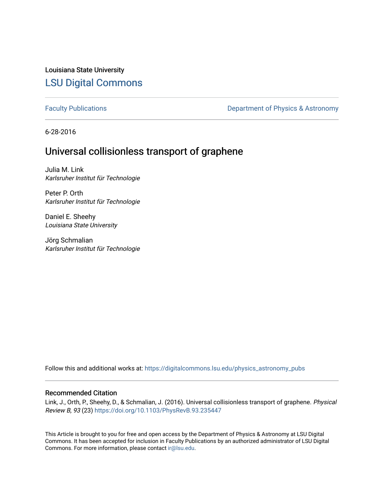Louisiana State University [LSU Digital Commons](https://digitalcommons.lsu.edu/)

[Faculty Publications](https://digitalcommons.lsu.edu/physics_astronomy_pubs) **Exercise 2 and Table 2 and Table 2 and Table 2 and Table 2 and Table 2 and Table 2 and Table 2 and Table 2 and Table 2 and Table 2 and Table 2 and Table 2 and Table 2 and Table 2 and Table 2 and Table** 

6-28-2016

### Universal collisionless transport of graphene

Julia M. Link Karlsruher Institut für Technologie

Peter P. Orth Karlsruher Institut für Technologie

Daniel E. Sheehy Louisiana State University

Jörg Schmalian Karlsruher Institut für Technologie

Follow this and additional works at: [https://digitalcommons.lsu.edu/physics\\_astronomy\\_pubs](https://digitalcommons.lsu.edu/physics_astronomy_pubs?utm_source=digitalcommons.lsu.edu%2Fphysics_astronomy_pubs%2F4977&utm_medium=PDF&utm_campaign=PDFCoverPages) 

#### Recommended Citation

Link, J., Orth, P., Sheehy, D., & Schmalian, J. (2016). Universal collisionless transport of graphene. Physical Review B, 93 (23) <https://doi.org/10.1103/PhysRevB.93.235447>

This Article is brought to you for free and open access by the Department of Physics & Astronomy at LSU Digital Commons. It has been accepted for inclusion in Faculty Publications by an authorized administrator of LSU Digital Commons. For more information, please contact [ir@lsu.edu](mailto:ir@lsu.edu).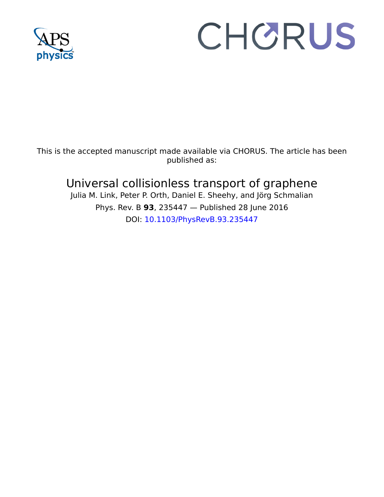

# CHORUS

This is the accepted manuscript made available via CHORUS. The article has been published as:

## Universal collisionless transport of graphene

Julia M. Link, Peter P. Orth, Daniel E. Sheehy, and Jörg Schmalian Phys. Rev. B **93**, 235447 — Published 28 June 2016 DOI: [10.1103/PhysRevB.93.235447](http://dx.doi.org/10.1103/PhysRevB.93.235447)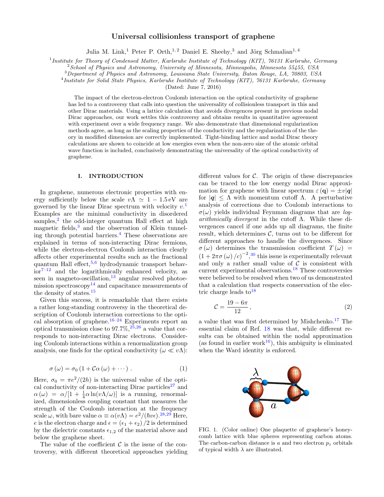#### Universal collisionless transport of graphene

Julia M. Link,<sup>1</sup> Peter P. Orth,<sup>1,2</sup> Daniel E. Sheehy,<sup>3</sup> and Jörg Schmalian<sup>1,4</sup>

<sup>1</sup> Institute for Theory of Condensed Matter, Karlsruhe Institute of Technology (KIT), 76131 Karlsruhe, Germany

<sup>2</sup> School of Physics and Astronomy, University of Minnesota, Minneapolis, Minnesota 55455, USA

<sup>3</sup>Department of Physics and Astronomy, Louisiana State University, Baton Rouge, LA, 70803, USA

4 Institute for Solid State Physics, Karlsruhe Institute of Technology (KIT), 76131 Karlsruhe, Germany

(Dated: June 7, 2016)

The impact of the electron-electron Coulomb interaction on the optical conductivity of graphene has led to a controversy that calls into question the universality of collisionless transport in this and other Dirac materials. Using a lattice calculation that avoids divergences present in previous nodal Dirac approaches, our work settles this controversy and obtains results in quantitative agreement with experiment over a wide frequency range. We also demonstrate that dimensional regularization methods agree, as long as the scaling properties of the conductivity and the regularization of the theory in modified dimension are correctly implemented. Tight-binding lattice and nodal Dirac theory calculations are shown to coincide at low energies even when the non-zero size of the atomic orbital wave function is included, conclusively demonstrating the universality of the optical conductivity of graphene.

#### I. INTRODUCTION

In graphene, numerous electronic properties with energy sufficiently below the scale  $v\Lambda \simeq 1 - 1.5 \text{ eV}$  are governed by the linear Dirac spectrum with velocity  $v^1$  $v^1$ . Examples are the minimal conductivity in disordered samples, $^{2}$  $^{2}$  $^{2}$  the odd-integer quantum Hall effect at high magnetic fields,<sup>[3](#page-21-2)</sup> and the observation of Klein tunneling through potential barriers. $<sup>4</sup>$  $<sup>4</sup>$  $<sup>4</sup>$  These observations are</sup> explained in terms of non-interacting Dirac fermions, while the electron-electron Coulomb interaction clearly affects other experimental results such as the fractional quantum Hall effect,  $5.6$  $5.6$  hydrodynamic transport behav- $\int_0^{\pi}$  and the logarithmically enhanced velocity, as seen in magneto-oscillation, $\frac{13}{13}$  $\frac{13}{13}$  $\frac{13}{13}$  angular resolved photoe-mission spectroscopy<sup>[14](#page-21-9)</sup> and capacitance measurements of the density of states.[15](#page-21-10)

Given this success, it is remarkable that there exists a rather long-standing controversy in the theoretical description of Coulomb interaction corrections to the opti-cal absorption of graphene.<sup>[16](#page-21-11)[–24](#page-21-12)</sup> Experiments report an optical transmission close to  $97.7\%,^{25,26}$  $97.7\%,^{25,26}$  $97.7\%,^{25,26}$  $97.7\%,^{25,26}$  a value that corresponds to non-interacting Dirac electrons. Considering Coulomb interactions within a renormalization group analysis, one finds for the optical conductivity  $(\omega \ll v\Lambda)$ :

<span id="page-2-0"></span>
$$
\sigma(\omega) = \sigma_0 \left( 1 + C\alpha(\omega) + \cdots \right) . \tag{1}
$$

Here,  $\sigma_0 = \pi e^2/(2h)$  is the universal value of the opti-cal conductivity of non-interacting Dirac particles<sup>[27](#page-21-15)</sup> and  $\alpha(\omega) = \alpha/[1 + \frac{1}{4}\alpha \ln(v\Lambda/\omega)]$  is a running, renormalized, dimensionless coupling constant that measures the strength of the Coulomb interaction at the frequency scale  $\omega$ , with bare value  $\alpha \equiv \alpha(v\Lambda) = e^2/(\hbar v \epsilon)^{28,29}$  $\alpha \equiv \alpha(v\Lambda) = e^2/(\hbar v \epsilon)^{28,29}$  $\alpha \equiv \alpha(v\Lambda) = e^2/(\hbar v \epsilon)^{28,29}$  $\alpha \equiv \alpha(v\Lambda) = e^2/(\hbar v \epsilon)^{28,29}$  Here, e is the electron charge and  $\epsilon = (\epsilon_1 + \epsilon_2)/2$  is determined by the dielectric constants  $\epsilon_{1,2}$  of the material above and below the graphene sheet.

The value of the coefficient  $\mathcal C$  is the issue of the controversy, with different theoretical approaches yielding different values for  $C$ . The origin of these discrepancies can be traced to the low energy nodal Dirac approximation for graphene with linear spectrum  $\varepsilon(\mathbf{q}) = \pm v|\mathbf{q}|$ for  $|q| \leq \Lambda$  with momentum cutoff  $\Lambda$ . A perturbative analysis of corrections due to Coulomb interactions to  $\sigma(\omega)$  yields individual Feynman diagrams that are logarithmically divergent in the cutoff Λ. While these divergences cancel if one adds up all diagrams, the finite result, which determines  $\mathcal{C}$ , turns out to be different for different approaches to handle the divergences. Since  $\sigma(\omega)$  determines the transmission coefficient  $T(\omega)$  =  $(1 + 2\pi\sigma(\omega)/c)^{-2}$ ,<sup>[30](#page-22-1)</sup> this issue is experimentally relevant and only a rather small value of  $\mathcal C$  is consistent with current experimental observations.[18](#page-21-17) These controversies were believed to be resolved when two of us demonstrated that a calculation that respects conservation of the electric charge leads to  $18$ 

<span id="page-2-2"></span>
$$
\mathcal{C} = \frac{19 - 6\pi}{12},\tag{2}
$$

a value that was first determined by Mishchenko.<sup>[17](#page-21-18)</sup> The essential claim of Ref. [18](#page-21-17) was that, while different results can be obtained within the nodal approximation (as found in earlier work<sup>[16](#page-21-11)</sup>), this ambiguity is eliminated when the Ward identity is enforced.

<span id="page-2-1"></span>

FIG. 1. (Color online) One plaquette of graphene's honeycomb lattice with blue spheres representing carbon atoms. The carbon-carbon distance is a and two electron  $p<sub>z</sub>$  orbitals of typical width  $\lambda$  are illustrated.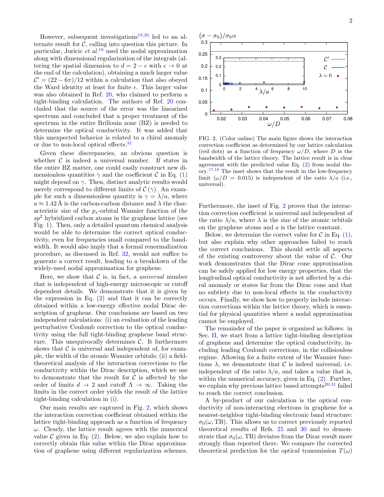However, subsequent investigations<sup>[19](#page-21-19)[,20](#page-21-20)</sup> led to an alternate result for  $C$ , calling into question this picture. In particular, Juricic *et al.*<sup>[19](#page-21-19)</sup> used the nodal approximation along with dimensional regularization of the integrals (altering the spatial dimension to  $d = 2 - \epsilon$  with  $\epsilon \to 0$  at the end of the calculation), obtaining a much larger value  $\mathcal{C}' = (22 - 6\pi)/12$  within a calculation that also obeyed the Ward identity at least for finite  $\epsilon$ . This larger value was also obtained in Ref. [20,](#page-21-20) who claimed to perform a tight-binding calculation. The authors of Ref. [20](#page-21-20) concluded that the source of the error was the linearized spectrum and concluded that a proper treatment of the spectrum in the entire Brillouin zone (BZ) is needed to determine the optical conductivity. It was added that this unexpected behavior is related to a chiral anomaly or due to non-local optical effects.[31](#page-22-2)

Given these discrepancies, an obvious question is whether  $\mathcal C$  is indeed a universal number. If states in the entire BZ matter, one could easily construct new dimensionless quantities  $\gamma$  and the coefficient C in Eq. [\(1\)](#page-2-0) might depend on  $\gamma$ . Then, distinct analytic results would merely correspond to different limits of  $\mathcal{C}(\gamma)$ . An example for such a dimensionless quantity is  $\gamma = \lambda/a$ , where  $a \approx 1.42 \text{ Å}$  is the carbon-carbon distance and  $\lambda$  the characteristic size of the  $p_z$ -orbital Wannier function of the  $sp<sup>2</sup>$  hybridized carbon atoms in the graphene lattice (see Fig. [1\)](#page-2-1). Then, only a detailed quantum chemical analysis would be able to determine the correct optical conductivity, even for frequencies small compared to the bandwidth. It would also imply that a formal renormalization procedure, as discussed in Ref. [32,](#page-22-3) would not suffice to generate a correct result, leading to a breakdown of the widely-used nodal approximation for graphene.

Here, we show that  $\mathcal C$  is, in fact, a *universal* number that is independent of high-energy microscopic or cutoff dependent details. We demonstrate that it is given by the expression in Eq.  $(2)$  and that it can be correctly obtained within a low-energy effective nodal Dirac description of graphene. Our conclusions are based on two independent calculations: (i) an evaluation of the leading perturbative Coulomb correction to the optical conductivity using the full tight-binding graphene band structure. This unequivocally determines  $C$ . It furthermore shows that  $\mathcal C$  is universal and independent of, for example, the width of the atomic Wannier orbitals; (ii) a fieldtheoretical analysis of the interaction corrections to the conductivity within the Dirac description, which we use to demonstrate that the result for  $\mathcal C$  is affected by the order of limits  $d \to 2$  and cutoff  $\Lambda \to \infty$ . Taking the limits in the correct order yields the result of the lattice tight-binding calculation in (i).

Our main results are captured in Fig. [2,](#page-3-0) which shows the interaction correction coefficient obtained within the lattice tight-binding approach as a function of frequency  $\omega$ . Clearly, the lattice result agrees with the numerical value  $\mathcal C$  given in Eq. [\(2\)](#page-2-2). Below, we also explain how to correctly obtain this value within the Dirac approximation of graphene using different regularization schemes.

<span id="page-3-0"></span>

FIG. 2. (Color online) The main figure shows the interaction correction coefficient as determined by our lattice calculation (red dots) as a function of frequency  $\omega/D$ , where D is the bandwidth of the lattice theory. The lattice result is in clear agreement with the predicted value Eq. [\(2\)](#page-2-2) from nodal theory.[17](#page-21-18)[,18](#page-21-17) The inset shows that the result in the low-frequency limit ( $\omega/D = 0.015$ ) is independent of the ratio  $\lambda/a$  (i.e., universal).

Furthermore, the inset of Fig. [2](#page-3-0) proves that the interaction correction coefficient is universal and independent of the ratio  $\lambda/a$ , where  $\lambda$  is the size of the atomic orbitals on the graphene atoms and a is the lattice constant.

Below, we determine the correct value for  $C$  in Eq. [\(1\)](#page-2-0), but also explain why other approaches failed to reach the correct conclusions. This should settle all aspects of the existing controversy about the value of  $\mathcal{C}$ . Our work demonstrates that the Dirac cone approximation can be safely applied for low energy properties, that the longitudinal optical conductivity is not affected by a chiral anomaly or states far from the Dirac cone and that no subtlety due to non-local effects in the conductivity occurs. Finally, we show how to properly include interaction corrections within the lattice theory, which is essential for physical quantities where a nodal approximation cannot be employed.

The remainder of the paper is organized as follows: in Sec. [II,](#page-4-0) we start from a lattice tight-binding description of graphene and determine the optical conductivity, including leading Coulomb corrections, in the collisionless regime. Allowing for a finite extent of the Wannier functions  $\lambda$ , we demonstrate that C is indeed universal, i.e. independent of the ratio  $\lambda/a$ , and takes a value that is, within the numerical accuracy, given in Eq. [\(2\)](#page-2-2). Further, we explain why previous lattice based attempts<sup>[20,](#page-21-20)[31](#page-22-2)</sup> failed to reach the correct conclusion.

A by-product of our calculation is the optical conductivity of non-interacting electrons in graphene for a nearest-neighbor tight-binding electronic band structure:  $\sigma_0(\omega, \text{TB})$ . This allows us to correct previously reported theoretical results of Refs. [25](#page-21-13) and [30](#page-22-1) and to demonstrate that  $\sigma_0(\omega, TB)$  deviates from the Dirac result more strongly than reported there. We compare the corrected theoretical prediction for the optical transmission  $T(\omega)$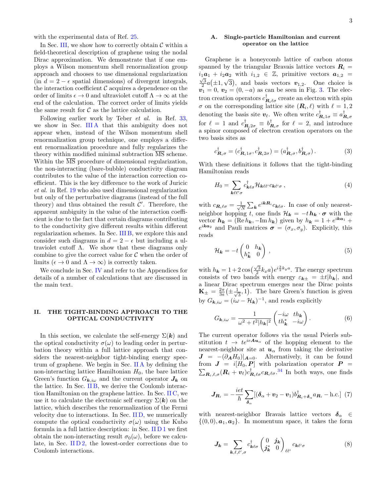with the experimental data of Ref. [25.](#page-21-13)

In Sec. [III,](#page-9-0) we show how to correctly obtain  $\mathcal C$  within a field-theoretical description of graphene using the nodal Dirac approximation. We demonstrate that if one employs a Wilson momentum shell renormalization group approach and chooses to use dimensional regularization (in  $d = 2 - \epsilon$  spatial dimensions) of divergent integrals, the interaction coefficient  $\mathcal C$  acquires a dependence on the order of limits  $\epsilon \to 0$  and ultraviolet cutoff  $\Lambda \to \infty$  at the end of the calculation. The correct order of limits yields the same result for  $C$  as the lattice calculation.

Following earlier work by Teber et al. in Ref. [33,](#page-22-4) we show in Sec. IIIA that this ambiguity does not appear when, instead of the Wilson momentum shell renormalization group technique, one employs a different renormalization procedure and fully regularizes the theory within modified minimal subtraction  $\overline{\text{MS}}$  scheme. Within the  $\overline{\text{MS}}$  procedure of dimensional regularization, the non-interacting (bare-bubble) conductivity diagram contributes to the value of the interaction correction coefficient. This is the key difference to the work of Juricic et al. in Ref. [19](#page-21-19) who also used dimensional regularization but only of the perturbative diagrams (instead of the full theory) and thus obtained the result  $\mathcal{C}'$ . Therefore, the apparent ambiguity in the value of the interaction coefficient is due to the fact that certain diagrams contributing to the conductivity give different results within different regularization schemes. In Sec. [III B,](#page-11-0) we explore this and consider such diagrams in  $d = 2 - \epsilon$  but including a ultraviolet cutoff  $\Lambda$ . We show that these diagrams only combine to give the correct value for  $\mathcal C$  when the order of limits ( $\epsilon \to 0$  and  $\Lambda \to \infty$ ) is correctly taken.

We conclude in Sec. [IV](#page-14-0) and refer to the Appendices for details of a number of calculations that are discussed in the main text.

#### <span id="page-4-0"></span>II. THE TIGHT-BINDING APPROACH TO THE OPTICAL CONDUCTIVITY

In this section, we calculate the self-energy  $\Sigma(\mathbf{k})$  and the optical conductivity  $\sigma(\omega)$  to leading order in perturbation theory within a full lattice approach that considers the nearest-neighbor tight-binding energy spectrum of graphene. We begin in Sec. [II A](#page-4-1) by defining the non-interacting lattice Hamiltonian  $H_0$ , the bare lattice Green's function  $G_{\mathbf{k},i\omega}$  and the current operator  $J_{\mathbf{k}}$  on the lattice. In Sec. [II B,](#page-5-0) we derive the Coulomb interaction Hamiltonian on the graphene lattice. In Sec. [II C,](#page-6-0) we use it to calculate the electronic self energy  $\Sigma(\mathbf{k})$  on the lattice, which describes the renormalization of the Fermi velocity due to interactions. In Sec. [II D,](#page-7-0) we numerically compute the optical conductivity  $\sigma(\omega)$  using the Kubo formula in a full lattice description: in Sec. [II D 1](#page-7-1) we first obtain the non-interacting result  $\sigma_0(\omega)$ , before we calculate, in Sec. IID 2, the lowest-order corrections due to Coulomb interactions.

#### <span id="page-4-1"></span>A. Single-particle Hamiltonian and current operator on the lattice

Graphene is a honeycomb lattice of carbon atoms spanned by the triangular Bravais lattice vectors  $\mathbf{R}_i =$  $i_1 \mathbf{a}_1 + i_2 \mathbf{a}_2$  with  $i_{1,2} \in \mathbb{Z}$ , primitive vectors  $\mathbf{a}_{1,2} = \sqrt{2}$  $\frac{\sqrt{3}}{2}a(\pm 1,\sqrt{3})$ , and basis vectors  $v_{1,2}$ . One choice is  $v_1 = 0, v_2 = (0, -a)$  as can be seen in Fig. [3.](#page-5-1) The electron creation operators  $c_{\mathbf{R}_i\ell\sigma}^{\dagger}$  create an electron with spin  $\sigma$  on the corresponding lattice site  $(\mathbf{R}_i, \ell)$  with  $\ell = 1, 2$ denoting the basis site  $v_{\ell}$ . We often write  $c_{\mathbf{R}_i,1\sigma}^{\dagger} \equiv a_{\mathbf{R}_i\sigma}^{\dagger}$ for  $\ell = 1$  and  $c_{\mathbf{R}_i 2\sigma}^{\dagger} \equiv b_{\mathbf{R}_i \sigma}^{\dagger}$  for  $\ell = 2$ , and introduce a spinor composed of electron creation operators on the two basis sites as

$$
c_{\mathbf{R}_i\sigma}^{\dagger} = (c_{\mathbf{R}_i1\sigma}^{\dagger}, c_{\mathbf{R}_i2\sigma}^{\dagger}) = (a_{\mathbf{R}_i\sigma}^{\dagger}, b_{\mathbf{R}_i\sigma}^{\dagger}).
$$
\n(3)

With these definitions it follows that the tight-binding Hamiltonian reads

$$
H_0 = \sum_{\mathbf{k}\ell\ell'\sigma} c_{\mathbf{k}\ell\sigma}^\dagger \mathcal{H}_{\mathbf{k}\ell\ell'} c_{\mathbf{k}\ell'\sigma} , \qquad (4)
$$

with  $c_{\boldsymbol{R}_i\ell\sigma} = \frac{1}{\sqrt{l}}$  $\frac{1}{N} \sum_{\mathbf{k}} e^{i\mathbf{k} \cdot \mathbf{R}_i} c_{\mathbf{k} \ell \sigma}$ . In case of only nearestneighbor hopping t, one finds  $\mathcal{H}_{\mathbf{k}} = -t \mathbf{h}_{\mathbf{k}} \cdot \boldsymbol{\sigma}$  with the vector  $h_k = (\text{Re } h_k, -\text{Im } h_k)$  given by  $h_k = 1 + e^{ika_1} +$  $e^{i\boldsymbol{k} \boldsymbol{a}_2}$  and Pauli matrices  $\boldsymbol{\sigma} = (\sigma_x, \sigma_y)$ . Explicitly, this reads

$$
\mathcal{H}_{\mathbf{k}} = -t \begin{pmatrix} 0 & h_{\mathbf{k}} \\ h_{\mathbf{k}}^* & 0 \end{pmatrix}, \tag{5}
$$

with  $h_{\mathbf{k}} = 1 + 2 \cos \left( \frac{\sqrt{3}}{2} k_x a \right) e^{i \frac{3}{2} k_y a}$ . The energy spectrum consists of two bands with energy  $\varepsilon_{\mathbf{k}\pm} = \pm t |h_{\mathbf{k}}|$ , and a linear Dirac spectrum emerges near the Dirac points  $\mathbf{K}_{\pm}\,=\,\frac{2\pi}{3a}\big(\pm\frac{1}{\sqrt{2}}% -\frac{1}{\sqrt{2}}\big)\,\mathbf{K}_{\pm}\, \mathbf{M}_{\pm}\,$  $\overline{3}$ , 1). The bare Green's function is given by  $G_{\mathbf{k},i\omega} = (i\omega - \mathcal{H}_{\mathbf{k}})^{-1}$ , and reads explicitly

<span id="page-4-2"></span>
$$
G_{\mathbf{k},i\omega} = \frac{1}{\omega^2 + t^2 |h_{\mathbf{k}}|^2} \begin{pmatrix} -i\omega & th_{\mathbf{k}} \\ th_{\mathbf{k}}^* & -i\omega \end{pmatrix} . \tag{6}
$$

The current operator follows via the usual Peierls substitution  $t \to te^{ieAu_\alpha}$  of the hopping element to the nearest-neighbor site at  $u_{\alpha}$  from taking the derivative  $J = -(\partial_A H_0)|_{A=0}$ . Alternatively, it can be found from  $J = i[H_0, P]$  with polarization operator  $P =$  $\sum_{\bm{R}_i,\ell,\sigma}(\bm{R}_i+\bm{v}_{\ell})c_{\bm{R}_i\ell\sigma}^\dagger c_{\bm{R}_i\ell\sigma}.^{34}$  $\sum_{\bm{R}_i,\ell,\sigma}(\bm{R}_i+\bm{v}_{\ell})c_{\bm{R}_i\ell\sigma}^\dagger c_{\bm{R}_i\ell\sigma}.^{34}$  $\sum_{\bm{R}_i,\ell,\sigma}(\bm{R}_i+\bm{v}_{\ell})c_{\bm{R}_i\ell\sigma}^\dagger c_{\bm{R}_i\ell\sigma}.^{34}$  In both ways, one finds

$$
\boldsymbol{J}_{\boldsymbol{R}_{i}} = -\frac{iet}{\hbar} \sum_{\boldsymbol{\delta}_{\alpha}} [(\boldsymbol{\delta}_{\alpha} + \boldsymbol{v}_{2} - \boldsymbol{v}_{1}) \boldsymbol{b}_{\boldsymbol{R}_{i} + \boldsymbol{\delta}_{\alpha}}^{\dagger} \boldsymbol{a}_{\boldsymbol{R}_{i}} - \text{h.c.}] \tag{7}
$$

<span id="page-4-3"></span>with nearest-neighbor Bravais lattice vectors  $\delta_{\alpha} \in$  $\{(0,0), a_1, a_2\}$ . In momentum space, it takes the form

$$
J_{\mathbf{k}} = \sum_{\mathbf{k},\ell,\ell',\sigma} c_{\mathbf{k}\ell\sigma}^{\dagger} \begin{pmatrix} 0 & \mathbf{j}_{\mathbf{k}} \\ \mathbf{j}_{\mathbf{k}}^* & 0 \end{pmatrix}_{\ell\ell'} c_{\mathbf{k}\ell'\sigma} \tag{8}
$$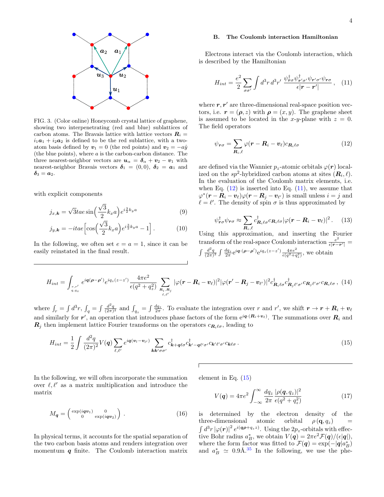<span id="page-5-1"></span>

FIG. 3. (Color online) Honeycomb crystal lattice of graphene, showing two interpenetrating (red and blue) sublattices of carbon atoms. The Bravais lattice with lattice vectors  $\mathbf{R}_i =$  $i_1a_1 + i_2a_2$  is defined to be the red sublattice, with a twoatom basis defined by  $v_1 = 0$  (the red points) and  $v_2 = -a\hat{y}$ (the blue points), where a is the carbon-carbon distance. The three nearest-neighbor vectors are  $u_{\alpha} = \delta_{\alpha} + v_2 - v_1$  with nearest-neighbor Bravais vectors  $\delta_1 = (0,0), \delta_2 = a_1$  and  $\boldsymbol{\delta}_3 = \boldsymbol{a}_2.$ 

with explicit components

$$
j_{x,\mathbf{k}} = \sqrt{3}tae\sin\left(\frac{\sqrt{3}}{2}k_xa\right)e^{i\frac{3}{2}k_ya}
$$
 (9)

$$
j_{y,k} = -itae\left[\cos\left(\frac{\sqrt{3}}{2}k_x a\right) e^{i\frac{3}{2}k_y a} - 1\right].
$$
 (10)

In the following, we often set  $e = a = 1$ , since it can be easily reinstated in the final result.

#### <span id="page-5-0"></span>B. The Coulomb interaction Hamiltonian

Electrons interact via the Coulomb interaction, which is described by the Hamiltonian

<span id="page-5-3"></span>
$$
H_{int} = \frac{e^2}{2} \sum_{\sigma\sigma'} \int d^3r \, d^3r' \, \frac{\psi_{\bm{r}\sigma}^{\dagger} \psi_{\bm{r}'\sigma'}^{\dagger} \psi_{\bm{r}'\sigma'} \psi_{\bm{r}\sigma}}{\epsilon |\bm{r} - \bm{r}'|} \,, \tag{11}
$$

where  $r, r'$  are three-dimensional real-space position vectors, i.e.  $\mathbf{r} = (\rho, z)$  with  $\rho = (x, y)$ . The graphene sheet is assumed to be located in the x-y-plane with  $z = 0$ . The field operators

<span id="page-5-2"></span>
$$
\psi_{\boldsymbol{r}\sigma} = \sum_{\boldsymbol{R}_i,\ell} \varphi(\boldsymbol{r} - \boldsymbol{R}_i - \boldsymbol{v}_{\ell}) c_{\boldsymbol{R}_i\ell\sigma} \tag{12}
$$

are defined via the Wannier  $p_z$ -atomic orbitals  $\varphi(\mathbf{r})$  localized on the sp<sup>2</sup>-hybridized carbon atoms at sites  $(R_i, \ell)$ . In the evaluation of the Coulomb matrix elements, i.e. when Eq.  $(12)$  is inserted into Eq.  $(11)$ , we assume that  $\varphi^*(\mathbf{r} - \mathbf{R}_i - \mathbf{v}_{\ell})\varphi(\mathbf{r} - \mathbf{R}_j - \mathbf{v}_{\ell'})$  is small unless  $i = j$  and  $\ell = \ell'$ . The density of spin  $\sigma$  is thus approximated by

$$
\psi^{\dagger}_{\boldsymbol{r}\sigma}\psi_{\boldsymbol{r}\sigma} \approx \sum_{\boldsymbol{R}_i,\ell} c^{\dagger}_{\boldsymbol{R}_i\ell\sigma} c_{\boldsymbol{R}_i\ell\sigma} |\varphi(\boldsymbol{r}-\boldsymbol{R}_i-\boldsymbol{v}_\ell)|^2. \tag{13}
$$

<span id="page-5-7"></span>Using this approximation, and inserting the Fourier transform of the real-space Coulomb interaction  $\frac{e^2}{\epsilon |r-1|}$  $\frac{e^z}{\epsilon|\bm{r}-\bm{r}'|} =$  $\int \frac{d^2q}{(2\pi)^2} \int \frac{dq_z}{2\pi} e^{i\boldsymbol{q} \cdot (\boldsymbol{\rho} - \boldsymbol{\rho}')} e^{iq_z(z-z')} \frac{4\pi e^2}{\epsilon(q^2+q_z^2)}$ , we obtain

$$
H_{int} = \int_{\substack{r,r'\\q,q_z}} e^{i\mathbf{q}(\boldsymbol{\rho}-\boldsymbol{\rho}')}\,e^{iq_z(z-z')} \frac{4\pi e^2}{\epsilon(q^2+q_z^2)} \sum_{\substack{\mathbf{R}_i,\mathbf{R}_j\\ \ell,\ell'}} |\varphi(\mathbf{r}-\mathbf{R}_i-\mathbf{v}_\ell)|^2 |\varphi(\mathbf{r}'-\mathbf{R}_j-\mathbf{v}_{\ell'})|^2 c_{\mathbf{R}_i\ell\sigma}^\dagger c_{\mathbf{R}_j\ell'\sigma'} c_{\mathbf{R}_j\ell'\sigma'} c_{\mathbf{R}_i\ell\sigma}, \tag{14}
$$

where  $\int_r = \int d^3r$ ,  $\int_q = \int \frac{d^2q}{(2\pi)^2}$  and  $\int_{q_z} = \int \frac{dq_z}{2\pi}$ . To evaluate the integration over r and r', we shift  $r \to r + R_i + v_\ell$ and similarly for  $r'$ , an operation that introduces phase factors of the form  $e^{iq \cdot (R_i + v_\ell)}$ . The summations over  $R_i$  and  $\mathbf{R}_j$  then implement lattice Fourier transforms on the operators  $c_{\mathbf{R}_i\ell\sigma}$ , leading to

$$
H_{int} = \frac{1}{2} \int \frac{d^2q}{(2\pi)^2} V(q) \sum_{\ell,\ell'} e^{i\boldsymbol{q}(\boldsymbol{v}_l - \boldsymbol{v}_{l'})} \sum_{\boldsymbol{k}\boldsymbol{k'}\sigma\sigma'} c_{\boldsymbol{k}+\boldsymbol{q}\ell\sigma}^{\dagger} c_{\boldsymbol{k'}-\boldsymbol{q}\ell'\sigma'}^{\dagger} c_{\boldsymbol{k'}\ell'\sigma'} c_{\boldsymbol{k}\ell\sigma}.
$$
 (15)

In the following, we will often incorporate the summation over  $\ell, \ell'$  as a matrix multiplication and introduce the matrix

<span id="page-5-5"></span>
$$
M_{\boldsymbol{q}} = \begin{pmatrix} \exp(i{\boldsymbol{q}}\boldsymbol{v}_1) & 0\\ 0 & \exp(i{\boldsymbol{q}}\boldsymbol{v}_2) \end{pmatrix} . \tag{16}
$$

In physical terms, it accounts for the spatial separation of the two carbon basis atoms and renders integration over momentum  $q$  finite. The Coulomb interaction matrix

element in Eq. [\(15\)](#page-5-4)

<span id="page-5-6"></span><span id="page-5-4"></span>
$$
V(\mathbf{q}) = 4\pi e^2 \int_{-\infty}^{\infty} \frac{dq_z}{2\pi} \frac{|\rho(\mathbf{q}, q_z)|^2}{\epsilon(q^2 + q_z^2)}
$$
(17)

is determined by the electron density of the three-dimensional atomic orbital  $\rho(\mathbf{q}, q_z)$  =  $\int d^3r |\varphi(\mathbf{r})|^2 e^{i(\mathbf{q}\boldsymbol{\rho}+q_zz)}$ . Using the 2p<sub>z</sub>-orbitals with effective Bohr radius  $a_B^*$ , we obtain  $V(\mathbf{q}) = 2\pi e^2 \mathcal{F}(\mathbf{q})/(\epsilon |\mathbf{q}|),$ where the form factor was fitted to  $\mathcal{F}(\boldsymbol{q}) = \exp(-|\boldsymbol{q}|a_B^*)$ and  $a_B^* \simeq 0.9\text{\AA}^{35}$  $a_B^* \simeq 0.9\text{\AA}^{35}$  $a_B^* \simeq 0.9\text{\AA}^{35}$  In the following, we use the phe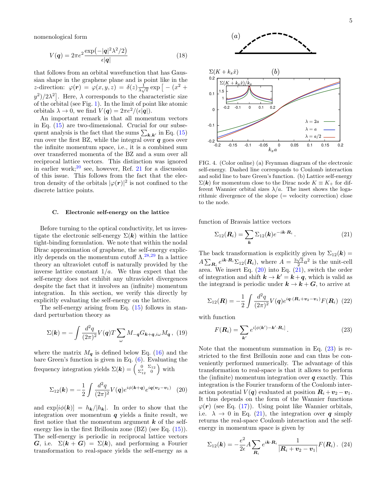nomenological form

<span id="page-6-6"></span>
$$
V(q) = 2\pi e^2 \frac{\exp(-|q|^2 \lambda^2/2)}{\epsilon |q|} \tag{18}
$$

that follows from an orbital wavefunction that has Gaussian shape in the graphene plane and is point like in the z-direction:  $\varphi(\mathbf{r}) = \varphi(x, y, z) = \delta(z) \frac{1}{\lambda \sqrt{\pi}} \exp \left[ - \left( x^2 + \frac{\mu}{\lambda \sqrt{\pi}} \right) \right]$  $y^2/2\lambda^2$ . Here,  $\lambda$  corresponds to the characteristic size of the orbital (see Fig. [1\)](#page-2-1). In the limit of point like atomic orbitals  $\lambda \to 0$ , we find  $V(q) = 2\pi e^2/(\epsilon |q|)$ .

An important remark is that all momentum vectors in Eq. [\(15\)](#page-5-4) are two-dimensional. Crucial for our subsequent analysis is the fact that the sums  $\sum_{k,k'}$  in Eq. [\(15\)](#page-5-4) run over the first BZ, while the integral over  $q$  goes over the infinite momentum space, i.e., it is a combined sum over transferred momenta of the BZ and a sum over all reciprocal lattice vectors. This distinction was ignored in earlier work; $^{20}$  $^{20}$  $^{20}$  see, however, Ref. [21](#page-21-21) for a discussion of this issue. This follows from the fact that the electron density of the orbitals  $|\varphi(\mathbf{r})|^2$  is not confined to the discrete lattice points.

#### <span id="page-6-0"></span>C. Electronic self-energy on the lattice

Before turning to the optical conductivity, let us investigate the electronic self-energy  $\Sigma(\mathbf{k})$  within the lattice tight-binding formulation. We note that within the nodal Dirac approximation of graphene, the self-energy explicitly depends on the momentum cutoff  $\Lambda$ <sup>[28](#page-21-16)[,29](#page-22-0)</sup> In a lattice theory an ultraviolet cutoff is naturally provided by the inverse lattice constant  $1/a$ . We thus expect that the self-energy does not exhibit any ultraviolet divergences despite the fact that it involves an (infinite) momentum integration. In this section, we verify this directly by explicitly evaluating the self-energy on the lattice.

The self-energy arising from Eq.  $(15)$  follows in standard perturbation theory as

$$
\Sigma(\mathbf{k}) = -\int \frac{d^2q}{(2\pi)^2} V(\mathbf{q}) T \sum_{\omega} M_{-\mathbf{q}} G_{\mathbf{k}+\mathbf{q},i\omega} M_{\mathbf{q}} , (19)
$$

where the matrix  $M_{q}$  is defined below Eq. [\(16\)](#page-5-5) and the bare Green's function is given in Eq. [\(6\)](#page-4-2). Evaluating the frequency integration yields  $\Sigma(k) = \begin{pmatrix} 0 & \Sigma_{12} \\ \Sigma_{12}^* & 0 \end{pmatrix}$  with

$$
\Sigma_{12}(\mathbf{k}) = -\frac{1}{2} \int \frac{d^2q}{(2\pi)^2} V(\mathbf{q}) e^{i\phi(\mathbf{k} + \mathbf{q})} e^{i\mathbf{q}(\mathbf{v}_2 - \mathbf{v}_1)} \tag{20}
$$

and  $\exp[i\phi(\mathbf{k})] = h_{\mathbf{k}}/|h_{\mathbf{k}}|$ . In order to show that the integration over momentum  $q$  yields a finite result, we first notice that the momentum argument  $k$  of the selfenergy lies in the first Brillouin zone  $(BZ)$  (see Eq.  $(15)$ ). The self-energy is periodic in reciprocal lattice vectors G, i.e.  $\Sigma(\mathbf{k}+\mathbf{G})=\Sigma(\mathbf{k})$ , and performing a Fourier transformation to real-space yields the self-energy as a

<span id="page-6-4"></span>

FIG. 4. (Color online) (a) Feynman diagram of the electronic self-energy. Dashed line corresponds to Coulomb interaction and solid line to bare Green's function. (b) Lattice self-energy  $\Sigma(\mathbf{k})$  for momentum close to the Dirac node  $K \equiv K_+$  for different Wannier orbital sizes  $\lambda/a$ . The inset shows the logarithmic divergence of the slope (= velocity correction) close to the node.

function of Bravais lattice vectors

<span id="page-6-2"></span>
$$
\Sigma_{12}(\boldsymbol{R}_i) = \sum_{\boldsymbol{k}} \Sigma_{12}(\boldsymbol{k}) e^{-i\boldsymbol{k}\cdot\boldsymbol{R}_i} \,. \tag{21}
$$

The back transformation is explicitly given by  $\Sigma_{12}(\mathbf{k}) =$  $A\sum_{\mathbf{R}_i}e^{i\mathbf{k}\cdot\mathbf{R}_i}\Sigma_{12}(\mathbf{R}_i)$ , where  $A=\frac{3\sqrt{3}}{2}a^2$  is the unit-cell area. We insert Eq.  $(20)$  into Eq.  $(21)$ , switch the order of integration and shift  $k \to k' = k + q$ , which is valid as the integrand is periodic under  $k \to k + G$ , to arrive at

$$
\Sigma_{12}(\boldsymbol{R}) = -\frac{1}{2} \int \frac{d^2q}{(2\pi)^2} V(\boldsymbol{q}) e^{i\boldsymbol{q} \cdot (\boldsymbol{R}_i + \boldsymbol{v}_2 - \boldsymbol{v}_1)} F(\boldsymbol{R}_i) \tag{22}
$$

with function

<span id="page-6-3"></span>
$$
F(\mathbf{R}_i) = \sum_{\mathbf{k}'} e^{i[\phi(\mathbf{k}') - \mathbf{k}' \cdot \mathbf{R}_i]}.
$$
 (23)

<span id="page-6-1"></span>Note that the momentum summation in Eq.  $(23)$  is restricted to the first Brillouin zone and can thus be conveniently performed numerically. The advantage of this transformation to real-space is that it allows to perform the (infinite) momentum integration over  $q$  exactly. This integration is the Fourier transform of the Coulomb interaction potential  $V(q)$  evaluated at position  $R_i + v_2 - v_1$ . It thus depends on the form of the Wannier functions  $\varphi(\mathbf{r})$  (see Eq. [\(17\)](#page-5-6)). Using point like Wannier orbitals, i.e.  $\lambda \to 0$  in Eq. [\(21\)](#page-6-2), the integration over q simply returns the real-space Coulomb interaction and the selfenergy in momentum space is given by

<span id="page-6-5"></span>
$$
\Sigma_{12}(\mathbf{k}) = -\frac{e^2}{2\epsilon} A \sum_{\mathbf{R}_i} e^{i\mathbf{k} \cdot \mathbf{R}_i} \frac{1}{|\mathbf{R}_i + \mathbf{v}_2 - \mathbf{v}_1|} F(\mathbf{R}_i). (24)
$$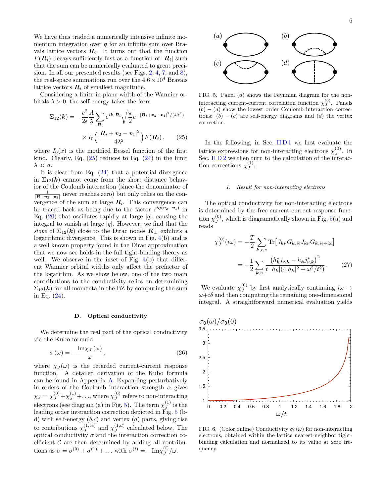We have thus traded a numerically intensive infinite momentum integration over  $q$  for an infinite sum over Bravais lattice vectors  $R_i$ . It turns out that the function  $F(\mathbf{R}_i)$  decays sufficiently fast as a function of  $|\mathbf{R}_i|$  such that the sum can be numerically evaluated to great precision. In all our presented results (see Figs. [2,](#page-3-0) [4,](#page-6-4) [7,](#page-9-1) and [8\)](#page-9-2), the real-space summations run over the  $4.6 \times 10^4$  Bravais lattice vectors  $\mathbf{R}_i$  of smallest magnitude.

Considering a finite in-plane width of the Wannier orbitals  $\lambda > 0$ , the self-energy takes the form

$$
\Sigma_{12}(\mathbf{k}) = -\frac{e^2}{2\epsilon} \frac{A}{\lambda} \sum_{\mathbf{R}_i} e^{i\mathbf{k} \cdot \mathbf{R}_i} \sqrt{\frac{\pi}{2}} e^{-|\mathbf{R}_i + \mathbf{v}_2 - \mathbf{v}_1|^2 / (4\lambda^2)}
$$

$$
\times I_0 \left( \frac{|\mathbf{R}_i + \mathbf{v}_2 - \mathbf{v}_1|^2}{4\lambda^2} \right) F(\mathbf{R}_i) , \qquad (25)
$$

where  $I_0(x)$  is the modified Bessel function of the first kind. Clearly, Eq.  $(25)$  reduces to Eq.  $(24)$  in the limit  $\lambda \ll a$ .

It is clear from Eq.  $(24)$  that a potential divergence in  $\Sigma_{12}(\mathbf{k})$  cannot come from the short distance behavior of the Coulomb interaction (since the denominator of  $\frac{1}{|\mathbf{R}+v_2-v_2|}$  never reaches zero) but only relies on the convergence of the sum at large  $R_i$ . This convergence can be traced back as being due to the factor  $e^{iq(v_2-v_1)}$  in Eq. [\(20\)](#page-6-1) that oscillates rapidly at large  $|q|$ , causing the integral to vanish at large  $|q|$ . However, we find that the slope of  $\Sigma_{12}(\mathbf{k})$  close to the Dirac nodes  $\mathbf{K}_{\pm}$  exhibits a logarithmic divergence. This is shown in Fig. [4\(](#page-6-4)b) and is a well known property found in the Dirac approximation that we now see holds in the full tight-binding theory as well. We observe in the inset of Fig.  $4(b)$  $4(b)$  that different Wannier orbital widths only affect the prefactor of the logarithm. As we show below, one of the two main contributions to the conductivity relies on determining  $\Sigma_{12}(\mathbf{k})$  for all momenta in the BZ by computing the sum in Eq. [\(24\)](#page-6-5).

#### <span id="page-7-5"></span><span id="page-7-0"></span>D. Optical conductivity

We determine the real part of the optical conductivity via the Kubo formula

$$
\sigma\left(\omega\right) = -\frac{\operatorname{Im}\chi_{J}\left(\omega\right)}{\omega},\tag{26}
$$

where  $\chi_J(\omega)$  is the retarded current-current response function. A detailed derivation of the Kubo formula can be found in Appendix [A.](#page-15-0) Expanding perturbatively in orders of the Coulomb interaction strength  $\alpha$  gives  $\chi_J = \chi_J^{(0)} + \chi_J^{(1)} + \dots$ , where  $\chi_J^{(0)}$  $J<sup>(0)</sup>$  refers to non-interacting electrons (see diagram (a) in Fig. [5\)](#page-7-3). The term  $\chi_I^{(1)}$  $J^{(1)}$  is the leading order interaction correction depicted in Fig. [5](#page-7-3) (bd) with self-energy  $(b, c)$  and vertex  $(d)$  parts, giving rise to contributions  $\chi_I^{(1,bc)}$  $\chi_J^{(1,bc)}$  and  $\chi_J^{(1,d)}$  $J^{(1,d)}$  calculated below. The optical conductivity  $\sigma$  and the interaction correction coefficient  $\mathcal C$  are then determined by adding all contributions as  $\sigma = \sigma^{(0)} + \sigma^{(1)} + \ldots$  with  $\sigma^{(i)} = -\text{Im}\chi_I^{(i)}$  $J^{(i)}/\omega$ .

6

<span id="page-7-3"></span>

FIG. 5. Panel (a) shows the Feynman diagram for the noninteracting current-current correlation function  $\chi_J^{(0)}$ . Panels  $(b) - (d)$  show the lowest order Coulomb interaction corrections:  $(b) - (c)$  are self-energy diagrams and  $(d)$  the vertex correction.

<span id="page-7-2"></span>In the following, in Sec. IID 1 we first evaluate the lattice expressions for non-interacting electrons  $\chi_I^{(0)}$  $J^{\left(0\right)}$ . In Sec. II  $D$  2 we then turn to the calculation of the interaction corrections  $\chi_I^{(1)}$  $J^{\left(1\right)}$  .

#### <span id="page-7-1"></span>1. Result for non-interacting electrons

The optical conductivity for non-interacting electrons is determined by the free current-current response function  $\chi_I^{(0)}$  $J<sup>(0)</sup>$ , which is diagramatically shown in Fig. [5\(](#page-7-3)a) and reads

$$
\chi_{J}^{(0)}(i\omega) = -\frac{T}{2} \sum_{\mathbf{k},\epsilon,\nu} \text{Tr} \left[ J_{\mathbf{k}\nu} G_{\mathbf{k},i\epsilon} J_{\mathbf{k}\nu} G_{\mathbf{k},i\epsilon+i\omega} \right]
$$

$$
= -\frac{1}{2} \sum_{\mathbf{k},\nu} \frac{\left( h_{\mathbf{k}}^{*} j_{\nu,\mathbf{k}} - h_{\mathbf{k}} j_{\nu,\mathbf{k}}^{*} \right)^{2}}{t \, |h_{\mathbf{k}}|(4|h_{\mathbf{k}}|^{2} + \omega^{2}/t^{2})}. \tag{27}
$$

We evaluate  $\chi_{I}^{(0)}$  $J<sup>(0)</sup>$  by first analytically continuing  $i\omega \rightarrow$  $\omega+i\delta$  and then computing the remaining one-dimensional integral. A straightforward numerical evaluation yields

<span id="page-7-4"></span>

FIG. 6. (Color online) Conductivity  $\sigma_0(\omega)$  for non-interacting electrons, obtained within the lattice nearest-neighbor tightbinding calculation and normalized to its value at zero frequency.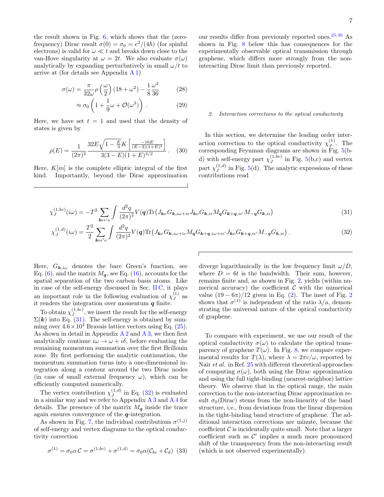the result shown in Fig.  $6$ , which shows that the (zerofrequency) Dirac result  $\sigma(0) = \sigma_0 = e^2/(4\hbar)$  (for spinful electrons) is valid for  $\omega \ll t$  and breaks down close to the van-Hove singularity at  $\omega = 2t$ . We also evaluate  $\sigma(\omega)$ analytically by expanding perturbatively in small  $\omega/t$  to arrive at (for details see Appendix [A 1\)](#page-15-1)

$$
\sigma(\omega) = \frac{\pi}{32\omega} \rho\left(\frac{\omega}{2}\right) (18 + \omega^2) - \frac{1}{8} \frac{\omega^2}{36} \tag{28}
$$

$$
\approx \sigma_0 \left( 1 + \frac{1}{9} \omega + \mathcal{O}(\omega^3) \right) . \tag{29}
$$

Here, we have set  $t = 1$  and used that the density of states is given by

$$
\rho(E) = \frac{1}{(2\pi)^2} \frac{32E\sqrt{1 - \frac{E}{3}K\left[\frac{-16E}{(E-3)(1+E)^3}\right]}}{3(3-E)(1+E)^{3/2}}.
$$
 (30)

Here,  $K[m]$  is the complete elliptic integral of the first kind. Importantly, beyond the Dirac approximation our results differ from previously reported ones.[25](#page-21-13)[,30](#page-22-1) As shown in Fig. [8](#page-9-2) below this has consequences for the experimentally observable optical transmission through graphene, which differs more strongly from the noninteracting Dirac limit than previously reported.

#### <span id="page-8-0"></span>2. Interaction corrections to the optical conductivity

In this section, we determine the leading order interaction correction to the optical conductivity  $\chi_I^{(1)}$  $J^{\left(1\right)}$ . The corresponding Feynman diagrams are shown in Fig. [5\(](#page-7-3)bd) with self-energy part  $\chi_I^{(1,bc)}$  $J<sup>(1,bc)</sup>$  in Fig. [5\(](#page-7-3)b,c) and vertex part  $\chi_{J}^{(1,d)}$  $J^{(1,a)}$  in Fig. [5\(](#page-7-3)d). The analytic expressions of these contributions read

$$
\chi_J^{(1,bc)}(i\omega) = -T^2 \sum_{\mathbf{k}\epsilon\epsilon' \nu} \int \frac{d^2q}{(2\pi)^2} V(\mathbf{q}) \text{Tr} \left( J_{\mathbf{k}\nu} G_{\mathbf{k},i\omega+i\epsilon} J_{\mathbf{k}\nu} G_{\mathbf{k},i\epsilon} M_{\mathbf{q}} G_{\mathbf{k}+\mathbf{q},i\epsilon'} M_{-\mathbf{q}} G_{\mathbf{k},i\epsilon} \right) \tag{31}
$$

$$
\chi_J^{(1,d)}(i\omega) = \frac{T^2}{2} \sum_{\mathbf{k}\in\epsilon'\nu} \int \frac{d^2q}{(2\pi)^2} V(\mathbf{q}) \text{Tr} \left( J_{\mathbf{k}\nu} G_{\mathbf{k},i\omega+i\epsilon} M_{\mathbf{q}} G_{\mathbf{k}+\mathbf{q},i\omega+i\epsilon'} J_{\mathbf{k}\nu} G_{\mathbf{k}+\mathbf{q},i\epsilon'} M_{-\mathbf{q}} G_{\mathbf{k},i\epsilon} \right). \tag{32}
$$

Here,  $G_{\mathbf{k},i\omega}$  denotes the bare Green's function, see Eq. [\(6\)](#page-4-2), and the matrix  $M_{q}$ , see Eq. [\(16\)](#page-5-5), accounts for the spatial separation of the two carbon basis atoms. Like in case of the self-energy discussed in Sec. [II C,](#page-6-0) it plays an important role in the following evaluation of  $\chi_I^{(1)}$  $J^{\left(1\right)}$  as it renders the integration over momentum  $q$  finite.

To obtain  $\chi_I^{(1,bc)}$  $J<sub>J</sub><sup>(1,0c)</sup>$ , we insert the result for the self-energy  $\Sigma(\mathbf{k})$  into Eq. [\(31\)](#page-8-1). The self-energy is obtained by summing over  $4.6 \times 10^4$  Bravais lattice vectors using Eq. [\(25\)](#page-7-2). As shown in detail in Appendix  $A_2$  and  $A_3$ , we then first analytically continue  $i\omega \to \omega + i\delta$ , before evaluating the remaining momentum summation over the first Brillouin zone. By first performing the analytic continuation, the momentum summation turns into a one-dimensional integration along a contour around the two Dirac nodes (in case of small external frequency  $\omega$ ), which can be efficiently computed numerically.

The vertex contribution  $\chi_I^{(1,d)}$  $J^{(1,d)}$  in Eq. [\(32\)](#page-8-2) is evaluated in a similar way and we refer to Appendix [A 3](#page-18-1) and [A 4](#page-19-0) for details. The presence of the matrix  $M_{q}$  inside the trace again ensures convergence of the q-integration.

As shown in Fig. [7,](#page-9-1) the individual contributions  $\sigma^{(1,j)}$ of self-energy and vertex diagrams to the optical conductivity correction

<span id="page-8-3"></span>
$$
\sigma^{(1)} = \sigma_0 \alpha \mathcal{C} = \sigma^{(1,bc)} + \sigma^{(1,d)} = \sigma_0 \alpha (\mathcal{C}_{bc} + \mathcal{C}_d)
$$
 (33)

<span id="page-8-2"></span><span id="page-8-1"></span>diverge logarithmically in the low frequency limit  $\omega/D$ , where  $D = 6t$  is the bandwidth. Their sum, however, remains finite and, as shown in Fig. [2,](#page-3-0) yields (within numerical accuracy) the coefficient  $\mathcal C$  with the numerical value  $(19 - 6\pi)/12$  $(19 - 6\pi)/12$  given in Eq. [\(2\)](#page-2-2). The inset of Fig. 2 shows that  $\sigma^{(1)}$  is independent of the ratio  $\lambda/a$ , demonstrating the universal nature of the optical conductivity of graphene.

To compare with experiment, we use our result of the optical conductivity  $\sigma(\omega)$  to calculate the optical transparency of graphene  $T(\omega)$ . In Fig. [8,](#page-9-2) we compare experimental results for  $T(\lambda)$ , where  $\lambda = 2\pi c/\omega$ , reported by Nair et al. in Ref. [25](#page-21-13) with different theoretical approaches of computing  $\sigma(\omega)$ , both using the Dirac approximation and using the full tight-binding (nearest-neighbor) lattice theory. We observe that in the optical range, the main correction to the non-interacting Dirac approximation result  $\sigma_0$ (Dirac) stems from the non-linearity of the band structure, i.e., from deviations from the linear dispersion in the tight-binding band structure of graphene. The additional interaction corrections are minute, because the coefficient  $\mathcal C$  is incidentally quite small. Note that a larger coefficient such as  $\mathcal{C}'$  implies a much more pronounced shift of the transparency from the non-interacting result (which is not observed experimentally).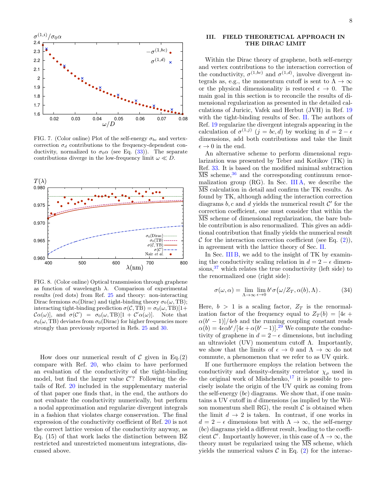8

<span id="page-9-1"></span>

FIG. 7. (Color online) Plot of the self-energy  $\sigma_{bc}$  and vertexcorrection  $\sigma_d$  contributions to the frequency-dependent conductivity, normalized to  $\sigma_0 \alpha$  (see Eq. [\(33\)](#page-8-3)). The separate contributions diverge in the low-frequency limit  $\omega \ll D$ .

<span id="page-9-2"></span>

FIG. 8. (Color online) Optical transmission through graphene as function of wavelength  $\lambda$ . Comparison of experimental results (red dots) from Ref. [25](#page-21-13) and theory: non-interacting Dirac fermions  $\sigma_0$ (Dirac) and tight-binding theory  $\sigma_0(\omega, TB)$ ; interacting tight-binding prediction  $\sigma(C, TB) = \sigma_0(\omega, TB)[1 +$  $C\alpha(\omega)$ , and  $\sigma(C') = \sigma_0(\omega, TB)[1 + C'\alpha(\omega)].$  Note that  $\sigma_0(\omega, TB)$  deviates from  $\sigma_0(Dirac)$  for higher frequencies more strongly than previously reported in Refs. [25](#page-21-13) and [30.](#page-22-1)

How does our numerical result of  $\mathcal C$  given in Eq.(2) compare with Ref. [20,](#page-21-20) who claim to have performed an evaluation of the conductivity of the tight-binding model, but find the larger value  $\mathcal{C}'$ ? Following the details of Ref. [20](#page-21-20) included in the supplementary material of that paper one finds that, in the end, the authors do not evaluate the conductivity numerically, but perform a nodal approximation and regularize divergent integrals in a fashion that violates charge conservation. The final expression of the conductivity coefficient of Ref. [20](#page-21-20) is not the correct lattice version of the conductivity anyway, as Eq. (15) of that work lacks the distinction between BZ restricted and unrestricted momentum integrations, discussed above.

#### <span id="page-9-0"></span>III. FIELD THEORETICAL APPROACH IN THE DIRAC LIMIT

Within the Dirac theory of graphene, both self-energy and vertex contributions to the interaction correction of the conductivity,  $\sigma^{(1,bc)}$  and  $\sigma^{(1,d)}$ , involve divergent integrals as, e.g., the momentum cutoff is sent to  $\Lambda \to \infty$ or the physical dimensionality is restored  $\epsilon \to 0$ . The main goal in this section is to reconcile the results of dimensional regularization as presented in the detailed calculations of Juricic, Vafek and Herbut (JVH) in Ref. [19](#page-21-19) with the tight-binding results of Sec. [II.](#page-4-0) The authors of Ref. [19](#page-21-19) regularize the divergent integrals appearing in the calculation of  $\sigma^{(1,j)}$   $(j = bc, d)$  by working in  $d = 2 - \epsilon$ dimensions, add both contributions and take the limit  $\epsilon \to 0$  in the end.

An alternative scheme to perform dimensional regularization was presented by Teber and Kotikov (TK) in Ref. [33.](#page-22-4) It is based on the modified minimal subtraction  $\overline{\text{MS}}$  scheme,<sup>[36](#page-22-7)</sup> and the corresponding continuum renormalization group (RG). In Sec. [III A,](#page-10-0) we describe the MS calculation in detail and confirm the TK results. As found by TK, although adding the interaction correction diagrams  $b, c$  and  $d$  yields the numerical result  $\mathcal{C}'$  for the correction coefficient, one must consider that within the MS scheme of dimensional regularization, the bare bubble contribution is also renormalized. This gives an additional contribution that finally yields the numerical result C for the interaction correction coefficient (see Eq.  $(2)$ ), in agreement with the lattice theory of Sec. [II.](#page-4-0)

In Sec. [III B,](#page-11-0) we add to the insight of TK by examining the conductivity scaling relation in  $d = 2 - \epsilon$  dimensions,  $37$  which relates the true conductivity (left side) to the renormalized one (right side):

$$
\sigma(\omega, \alpha) = \lim_{\Lambda \to \infty} \lim_{\epsilon \to 0} b^{\epsilon} \sigma(\omega / Z_T, \alpha(b), \Lambda).
$$
 (34)

Here,  $b > 1$  is a scaling factor,  $Z_T$  is the renormalization factor of the frequency equal to  $Z_T(b) = [4\epsilon +$  $\alpha(b^{\epsilon}-1)/4\epsilon b$  and the running coupling constant reads  $\alpha(b) = 4\epsilon \alpha b^{\epsilon}/[4\epsilon + \alpha(b^{\epsilon}-1)]^{29}$  $\alpha(b) = 4\epsilon \alpha b^{\epsilon}/[4\epsilon + \alpha(b^{\epsilon}-1)]^{29}$  $\alpha(b) = 4\epsilon \alpha b^{\epsilon}/[4\epsilon + \alpha(b^{\epsilon}-1)]^{29}$  We compute the conductivity of graphene in  $d = 2 - \epsilon$  dimensions, but including an ultraviolet (UV) momentum cutoff  $\Lambda$ . Importantly, we show that the limits of  $\epsilon \to 0$  and  $\Lambda \to \infty$  do not commute, a phenomenon that we refer to as UV quirk.

If one furthermore employs the relation between the conductivity and density-density correlator  $\chi_{\rho}$  used in the original work of Mishchenko, $17$  it is possible to precisely isolate the origin of the UV quirk as coming from the self-energy  $(bc)$  diagrams. We show that, if one maintains a UV cutoff in d dimensions (as implied by the Wilson momentum shell RG), the result  $\mathcal C$  is obtained when the limit  $d \to 2$  is taken. In contrast, if one works in  $d = 2 - \epsilon$  dimensions but with  $\Lambda \to \infty$ , the self-energy  $(bc)$  diagrams yield a different result, leading to the coefficient  $\mathcal{C}'$ . Importantly however, in this case of  $\Lambda \to \infty$ , the theory must be regularized using the  $\overline{MS}$  scheme, which yields the numerical values  $\mathcal C$  in Eq. [\(2\)](#page-2-2) for the interac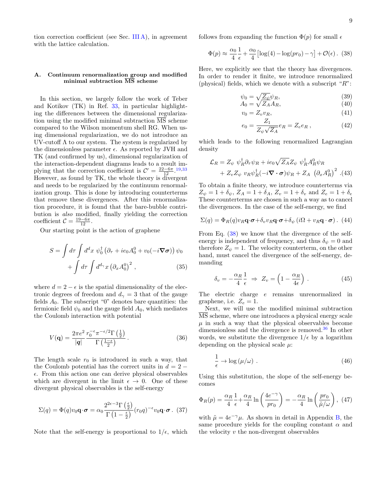tion correction coefficient (see Sec. [III A\)](#page-10-0), in agreement with the lattice calculation.

#### <span id="page-10-0"></span>A. Continuum renormalization group and modified minimal subtraction MS scheme

In this section, we largely follow the work of Teber and Kotikov (TK) in Ref. [33,](#page-22-4) in particular highlighting the differences between the dimensional regularization using the modified minimal subtraction MS scheme compared to the Wilson momentum shell RG. When using dimensional regularization, we do not introduce an UV-cutoff  $\Lambda$  to our system. The system is regularized by the dimensionless parameter  $\epsilon$ . As reported by JVH and TK (and confirmed by us), dimensional regularization of the interaction-dependent diagrams leads to a result implying that the correction coefficient is  $\mathcal{C}' = \frac{22-6\pi}{12}$ . <sup>[19](#page-21-19)[,33](#page-22-4)</sup> However, as found by TK, the whole theory is divergent and needs to be regularized by the continuum renormalization group. This is done by introducing counterterms that remove these divergences. After this renormalization procedure, it is found that the bare-bubble contribution is also modified, finally yielding the correction coefficient  $C = \frac{19-6\pi}{12}$ .

Our starting point is the action of graphene

$$
S = \int d\tau \int d^d x \ \psi_0^{\dagger} \left( \partial_{\tau} + ie_0 A_0^0 + v_0 (-i \nabla \sigma) \right) \psi_0
$$

$$
+ \int d\tau \int d^{d\gamma} x \left( \partial_x A_0^0 \right)^2 , \qquad (35)
$$

where  $d = 2 - \epsilon$  is the spatial dimensionality of the electronic degrees of freedom and  $d_{\gamma} = 3$  that of the gauge fields  $A_0$ . The subscript "0" denotes bare quantities: the fermionic field  $\psi_0$  and the gauge field  $A_0$ , which mediates the Coulomb interaction with potential

$$
V(\mathbf{q}) = \frac{2\pi e^2}{|\mathbf{q}|} \frac{r_0^{-\epsilon} \pi^{-\epsilon/2} \Gamma\left(\frac{1}{2}\right)}{\Gamma\left(\frac{1-\epsilon}{2}\right)}\,. \tag{36}
$$

The length scale  $r_0$  is introduced in such a way, that the Coulomb potential has the correct units in  $d = 2 \epsilon$ . From this action one can derive physical observables which are divergent in the limit  $\epsilon \to 0$ . One of these divergent physical observables is the self-energy

$$
\Sigma(q) = \Phi(q)v_0 \mathbf{q} \cdot \boldsymbol{\sigma} = \alpha_0 \frac{2^{2\epsilon - 3} \Gamma\left(\frac{\epsilon}{2}\right)}{\Gamma\left(1 - \frac{\epsilon}{2}\right)} (r_0 q)^{-\epsilon} v_0 \mathbf{q} \cdot \boldsymbol{\sigma}.
$$
 (37)

Note that the self-energy is proportional to  $1/\epsilon$ , which

follows from expanding the function  $\Phi(p)$  for small  $\epsilon$ 

$$
\Phi(p) \approx \frac{\alpha_0}{4} \frac{1}{\epsilon} + \frac{\alpha_0}{4} \left[ \log(4) - \log(pr_0) - \gamma \right] + \mathcal{O}(\epsilon). \tag{38}
$$

Here, we explicitly see that the theory has divergences. In order to render it finite, we introduce renormalized (physical) fields, which we denote with a subscript " $R$ ":

<span id="page-10-2"></span><span id="page-10-1"></span>
$$
\psi_0 = \sqrt{\mathcal{Z}_\psi} \psi_R,\tag{39}
$$

$$
A_0 = \sqrt{Z_A} A_R,\tag{40}
$$

$$
v_0 = Z_v v_R,\tag{41}
$$

$$
e_0 = \frac{Z_1}{Z_{\psi}\sqrt{Z_A}}e_R = Z_e e_R , \qquad (42)
$$

which leads to the following renormalized Lagrangian density

$$
\mathcal{L}_R = Z_{\psi} \ \psi_R^{\dagger} \partial_{\tau} \psi_R + ie_0 \sqrt{Z_A} Z_{\psi} \ \psi_R^{\dagger} A_R^0 \psi_R \n+ Z_{\nu} Z_{\psi} \ v_R \psi_R^{\dagger} (-i \nabla \cdot \sigma) \psi_R + Z_A \ (\partial_x A_R^0)^2 \ .(43)
$$

To obtain a finite theory, we introduce counterterms via  $Z_{\psi} = 1 + \delta_{\psi}, Z_{A} = 1 + \delta_{A}, Z_{v} = 1 + \delta_{v}$  and  $Z_{e} = 1 + \delta_{e}$ These counterterms are chosen in such a way as to cancel the divergences. In the case of the self-energy, we find

$$
\Sigma(q) = \Phi_R(q)v_R \mathbf{q} \cdot \boldsymbol{\sigma} + \delta_v v_R \mathbf{q} \cdot \boldsymbol{\sigma} + \delta_{\psi} (i\Omega + v_R \mathbf{q} \cdot \boldsymbol{\sigma})
$$
 (44)

From Eq. [\(38\)](#page-10-1) we know that the divergence of the selfenergy is independent of frequency, and thus  $\delta_{\psi} = 0$  and therefore  $Z_{\psi} = 1$ . The velocity counterterm, on the other hand, must cancel the divergence of the self-energy, demanding

<span id="page-10-3"></span>
$$
\delta_v = -\frac{\alpha_R}{4} \frac{1}{\epsilon} \implies Z_v = \left(1 - \frac{\alpha_R}{4\epsilon}\right) \,. \tag{45}
$$

The electric charge e remains unrenormalized in graphene, i.e.  $Z_e = 1$ .

Next, we will use the modified minimal subtraction MS scheme, where one introduces a physical energy scale  $\mu$  in such a way that the physical observables become dimensionless and the divergence is removed.<sup>[36](#page-22-7)</sup> In other words, we substitute the divergence  $1/\epsilon$  by a logarithm depending on the physical scale  $\mu$ :

$$
\frac{1}{\epsilon} \to \log\left(\mu/\omega\right) \,. \tag{46}
$$

Using this substitution, the slope of the self-energy becomes

$$
\Phi_R(p) = \frac{\alpha_R}{4} \frac{1}{\epsilon} + \frac{\alpha_R}{4} \ln \left( \frac{4e^{-\gamma}}{pr_0} \right) = -\frac{\alpha_R}{4} \ln \left( \frac{pr_0}{\tilde{\mu}/\omega} \right), \tag{47}
$$

with  $\tilde{\mu} = 4e^{-\gamma}\mu$ . As shown in detail in Appendix [B,](#page-20-0) the same procedure yields for the coupling constant  $\alpha$  and the velocity  $v$  the non-divergent observables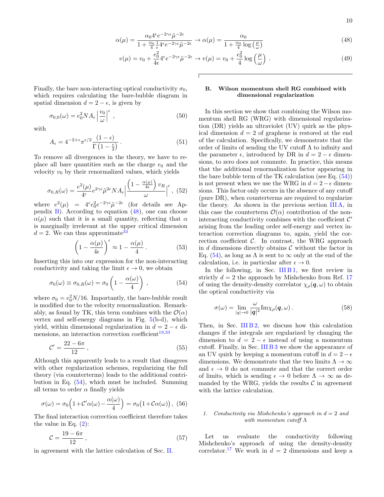10

<span id="page-11-1"></span>
$$
\alpha(\mu) = \frac{\alpha_0 4^{\epsilon} e^{-2\gamma \epsilon} \tilde{\mu}^{-2\epsilon}}{1 + \frac{\alpha_0}{4} \frac{1}{\epsilon} 4^{\epsilon} e^{-2\gamma \epsilon} \tilde{\mu}^{-2\epsilon}} \rightarrow \alpha(\mu) = \frac{\alpha_0}{1 + \frac{\alpha_0}{4} \log\left(\frac{\mu}{\omega}\right)}\tag{48}
$$

$$
v(\mu) = v_0 + \frac{e_0^2}{4\epsilon} 4^{\epsilon} e^{-2\gamma \epsilon} \tilde{\mu}^{-2\epsilon} \to v(\mu) = v_0 + \frac{e_0^2}{4} \log\left(\frac{\mu}{\omega}\right) \,. \tag{49}
$$

Finally, the bare non-interacting optical conductivity  $\sigma_0$ , which requires calculating the bare-bubble diagram in spatial dimension  $d = 2 - \epsilon$ , is given by

$$
\sigma_{0,0}(\omega) = e_0^2 N A_\epsilon \left| \frac{v_0}{\omega} \right|^\epsilon \,, \tag{50}
$$

with

$$
A_{\epsilon} = 4^{-2+\epsilon} \pi^{\epsilon/2} \frac{(1-\epsilon)}{\Gamma(1-\frac{\epsilon}{2})} \,. \tag{51}
$$

To remove all divergences in the theory, we have to replace all bare quantities such as the charge  $e_0$  and the velocity  $v_0$  by their renormalized values, which yields

$$
\sigma_{0,R}(\omega) = \frac{e^2(\mu)}{4\epsilon} e^{2\gamma\epsilon} \tilde{\mu}^{2\epsilon} N A_{\epsilon} \left| \frac{\left(1 - \frac{\alpha(\mu)}{4\epsilon}\right) v_R}{\omega} \right|^\epsilon, (52)
$$

where  $e^2(\mu) = 4\epsilon e_0^2 e^{-2\gamma \epsilon} \tilde{\mu}^{-2\epsilon}$  (for details see Appendix  $B$ ). According to equation  $(48)$ , one can choose  $\alpha(\mu)$  such that it is a small quantity, reflecting that  $\alpha$ is marginally irrelevant at the upper critical dimension  $d = 2$ . We can thus approximate<sup>[33](#page-22-4)</sup>

$$
\left(1 - \frac{\alpha(\mu)}{4\epsilon}\right)^{\epsilon} \approx 1 - \frac{\alpha(\mu)}{4}.
$$
 (53)

Inserting this into our expression for the non-interacting conductivity and taking the limit  $\epsilon \to 0$ , we obtain

$$
\sigma_0(\omega) \equiv \sigma_{0,R}(\omega) = \sigma_0 \left( 1 - \frac{\alpha(\omega)}{4} \right) , \qquad (54)
$$

where  $\sigma_0 = e_0^2 N/16$ . Importantly, the bare-bubble result is modified due to the velocity renormalization. Remarkably, as found by TK, this term combines with the  $\mathcal{O}(\alpha)$ vertex and self-energy diagrams in Fig. [5\(](#page-7-3)b-d), which yield, within dimensional regularization in  $d = 2 - \epsilon$  dimensions, an interaction correction coefficient $19,33$  $19,33$ 

$$
\mathcal{C}' = \frac{22 - 6\pi}{12} \,,\tag{55}
$$

Although this apparently leads to a result that disagrees with other regularization schemes, regularizing the full theory (via counterterms) leads to the additional contribution in Eq. [\(54\)](#page-11-2), which must be included. Summing all terms to order  $\alpha$  finally yields

$$
\sigma(\omega) = \sigma_0 \left( 1 + C' \alpha(\omega) - \frac{\alpha(\omega)}{4} \right) = \sigma_0 \left( 1 + C \alpha(\omega) \right), \tag{56}
$$

The final interaction correction coefficient therefore takes the value in Eq.  $(2)$ :

$$
\mathcal{C} = \frac{19 - 6\pi}{12} \,,\tag{57}
$$

in agreement with the lattice calculation of Sec. [II.](#page-4-0)

#### <span id="page-11-0"></span>B. Wilson momentum shell RG combined with dimensional regularization

In this section we show that combining the Wilson momentum shell RG (WRG) with dimensional regularization (DR) yields an ultraviolet (UV) quirk as the physical dimension  $d = 2$  of graphene is restored at the end of the calculation. Specifically, we demonstrate that the order of limits of sending the UV cutoff  $\Lambda$  to infinity and the parameter  $\epsilon$ , introduced by DR in  $d = 2 - \epsilon$  dimensions, to zero does not commute. In practice, this means that the additional renormalization factor appearing in the bare bubble term of the TK calculation (see Eq.  $(54)$ ) is not present when we use the WRG in  $d = 2 - \epsilon$  dimensions. This factor only occurs in the absence of any cutoff (pure DR), when counterterms are required to regularize the theory. As shown in the previous section [III A,](#page-10-0) in this case the counterterm  $\mathcal{O}(\alpha)$  contribution of the noninteracting conductivity combines with the coefficient  $\mathcal{C}'$ arising from the leading order self-energy and vertex interaction correction diagrams to, again, yield the correction coefficient  $C$ . In contrast, the WRG approach in  $d$  dimensions directly obtains  $\mathcal C$  without the factor in Eq.  $(54)$ , as long as  $\Lambda$  is sent to  $\infty$  only at the end of the calculation, i.e. in particular after  $\epsilon \to 0$ .

<span id="page-11-2"></span>In the following, in Sec. [III B 1,](#page-11-3) we first review in strictly  $d = 2$  the approach by Mishchenko from Ref. [17](#page-21-18) of using the density-density correlator  $\chi_{\rho}(\mathbf{q}, \omega)$  to obtain the optical conductivity via

<span id="page-11-4"></span>
$$
\sigma(\omega) = \lim_{|q| \to 0} \frac{\omega}{|q|^2} \text{Im}\chi_{\rho}(q,\omega).
$$
 (58)

Then, in Sec. [III B 2,](#page-12-0) we discuss how this calculation changes if the integrals are regularized by changing the dimension to  $d = 2 - \epsilon$  instead of using a momentum cutoff. Finally, in Sec. [III B 3](#page-13-0) we show the appearance of an UV quirk by keeping a momentum cutoff in  $d = 2 - \epsilon$ dimensions. We demonstrate that the two limits  $\Lambda \to \infty$ and  $\epsilon \to 0$  do not commute and that the correct order of limits, which is sending  $\epsilon \to 0$  before  $\Lambda \to \infty$  as demanded by the WRG, yields the results  $\mathcal C$  in agreement with the lattice calculation.

#### <span id="page-11-3"></span>1. Conductivity via Mishchenko's approach in  $d = 2$  and with momentum cutoff  $\Lambda$

Let us evaluate the conductivity following Mishchenko's approach of using the density-density correlator.<sup>[17](#page-21-18)</sup> We work in  $d = 2$  dimensions and keep a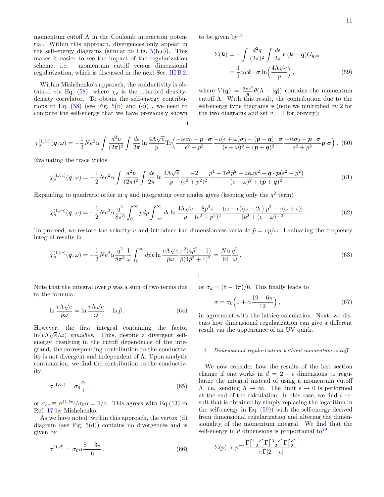momentum cutoff  $\Lambda$  in the Coulomb interaction potential. Within this approach, divergences only appear in the self-energy diagrams (similar to Fig.  $5(b,c)$  $5(b,c)$ ). This makes it easier to see the impact of the regularization scheme, i.e. momentum cutoff versus dimensional regularization, which is discussed in the next Sec. [III B 2.](#page-12-0)

Within Mishchenko's approach, the conductivity is ob-tained via Eq. [\(58\)](#page-11-4), where  $\chi_{\rho}$  is the retarded densitydensity correlator. To obtain the self-energy contributions to Eq.  $(58)$  (see Fig.  $5(b)$  $5(b)$  and  $(c)$ ), we need to compute the self-energy that we have previously shown to be given by  $18$ 

<span id="page-12-1"></span>
$$
\Sigma(\mathbf{k}) = -\int \frac{d^2 q}{(2\pi)^2} \int \frac{d\epsilon}{2\pi} V(\mathbf{k} - \mathbf{q}) G_{\mathbf{q}, i\epsilon}
$$

$$
= \frac{1}{4} \alpha v \mathbf{k} \cdot \boldsymbol{\sigma} \ln\left(\frac{4\Lambda\sqrt{e}}{p}\right), \qquad (59)
$$

where  $V(\boldsymbol{q}) = \frac{2\pi e^2}{|\boldsymbol{q}|} \theta(\Lambda - |\boldsymbol{q}|)$  contains the momentum cutoff Λ. With this result, the contribution due to the self-energy type diagrams is (note we multiplied by 2 for the two diagrams and set  $v = 1$  for brevity):

$$
\chi_{\rho}^{(1,bc)}(\boldsymbol{q},\omega) = -\frac{1}{2}Ne^2\alpha \int \frac{d^2p}{(2\pi)^2} \int \frac{d\epsilon}{2\pi} \ln \frac{4\Lambda\sqrt{\epsilon}}{p} \text{Tr}\left(\frac{-i\epsilon\sigma_0 - \boldsymbol{p} \cdot \boldsymbol{\sigma}}{\epsilon^2 + p^2} \frac{-i(\epsilon + \omega)\sigma_0 - (\boldsymbol{p} + \boldsymbol{q}) \cdot \boldsymbol{\sigma}}{(\epsilon + \omega)^2 + (\boldsymbol{p} + \boldsymbol{q})^2} \frac{-i\epsilon\sigma_0 - \boldsymbol{p} \cdot \boldsymbol{\sigma}}{\epsilon^2 + p^2} \boldsymbol{p} \cdot \boldsymbol{\sigma}\right). (60)
$$

Evaluating the trace yields

$$
\chi_{\rho}^{(1,bc)}(\mathbf{q},\omega) = -\frac{1}{2}Ne^2\alpha \int \frac{d^2p}{(2\pi)^2} \int \frac{d\epsilon}{2\pi} \ln \frac{4\Lambda\sqrt{e}}{p} \frac{-2}{(\epsilon^2 + p^2)^2} \frac{p^4 - 3\epsilon^2 p^2 - 2\epsilon\omega p^2 - \mathbf{q} \cdot \mathbf{p}(\epsilon^2 - p^2)}{(\epsilon + \omega)^2 + (\mathbf{p} + \mathbf{q})^2}.
$$
 (61)

Expanding to quadratic order in q and integrating over angles gives (keeping only the  $q^2$  term)

$$
\chi_{\rho}^{(1,bc)}(\mathbf{q},\omega) = -\frac{1}{2}Ne^2\alpha \frac{q^2}{8\pi^3} \int_0^{\infty} pdp \int_{-\infty}^{\infty} d\epsilon \ln \frac{4\Lambda\sqrt{e}}{p} \frac{8p^2\pi}{(\epsilon^2 + p^2)^2} \frac{(\omega + \epsilon)(\omega + 2\epsilon)[p^2 - \epsilon(\omega + \epsilon)]}{[p^2 + (\epsilon + \omega)^2]^3}.
$$
 (62)

To proceed, we restore the velocity v and introduce the dimensionless variable  $\tilde{p} = vp/\omega$ . Evaluating the frequency integral results in

<span id="page-12-2"></span>
$$
\chi_{\rho}^{(1,bc)}(\mathbf{q},\omega) = -\frac{1}{2}Ne^2\alpha \frac{q^2}{8\pi^3} \frac{1}{\omega} \int_0^{\infty} d\tilde{p}\tilde{p} \ln \frac{v\Lambda\sqrt{e}}{\tilde{p}\omega} \frac{\pi^2(4\tilde{p}^2 - 1)}{\tilde{p}(4\tilde{p}^2 + 1)^2} = \frac{N\alpha}{64} \frac{q^2}{\omega} .
$$
\n(63)

Note that the integral over  $\tilde{p}$  was a sum of two terms due to the formula

$$
\ln \frac{v \Lambda \sqrt{e}}{\tilde{p}\omega} = \ln \frac{v \Lambda \sqrt{e}}{\omega} - \ln \tilde{p}.
$$
 (64)

However, the first integral containing the factor  $ln(v\Lambda\sqrt{e}/\omega)$  vanishes. Thus, despite a divergent selfenergy, resulting in the cutoff dependence of the integrand, the corresponding contribution to the conductivity is not divergent and independent of Λ. Upon analytic continuation, we find the contribution to the conductivity

$$
\sigma^{(1,bc)} = \sigma_0 \frac{\alpha}{4},\tag{65}
$$

or  $\sigma_{bc} \equiv \frac{\sigma^{(1,bc)}}{\sigma_0 \alpha} = \frac{1}{4}$ . This agrees with Eq.(13) in Ref. [17](#page-21-18) by Mishchenko.

As we have noted, within this approach, the vertex (d) diagram (see Fig.  $5(d)$  $5(d)$ ) contains no divergences and is given by

$$
\sigma^{(1,d)} = \sigma_0 \alpha \frac{8 - 3\pi}{6},\qquad(66)
$$

or  $\sigma_d = (8 - 3\pi)/6$ . This finally leads to

<span id="page-12-3"></span>
$$
\sigma = \sigma_0 \left( 1 + \alpha \frac{19 - 6\pi}{12} \right),\tag{67}
$$

in agreement with the lattice calculation. Next, we discuss how dimensional regularization can give a different result via the appearance of an UV quirk.

#### <span id="page-12-0"></span>2. Dimensional regularization without momentum cutoff

We now consider how the results of the last section change if one works in  $d = 2 - \epsilon$  dimensions to regularize the integral instead of using a momentum cutoff  $Λ$ , i.e. sending  $Λ → ∞$ . The limit  $ε → 0$  is performed at the end of the calculation. In this case, we find a result that is obtained by simply replacing the logarithm in the self-energy in Eq. [\(59\)](#page-12-1)) with the self-energy derived from dimensional regularization and altering the dimensionality of the momentum integral. We find that the self-energy in d dimensions is proportional  $\text{to}^{19}$  $\text{to}^{19}$  $\text{to}^{19}$ 

$$
\Sigma(p) \propto p^{-\epsilon} \frac{\Gamma\left[\frac{1-\epsilon}{2}\right] \Gamma\left[\frac{3-\epsilon}{2}\right] \Gamma\left[\frac{\epsilon}{2}\right]}{\pi \Gamma[2-\epsilon]}
$$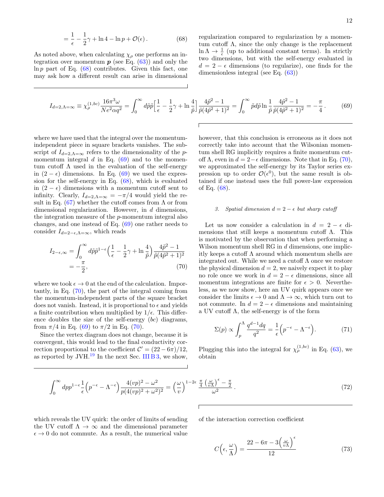$$
= \frac{1}{\epsilon} - \frac{1}{2}\gamma + \ln 4 - \ln p + \mathcal{O}(\epsilon).
$$
 (68)

As noted above, when calculating  $\chi_{\rho}$  one performs an integration over momentum  $p$  (see Eq. [\(63\)](#page-12-2)) and only the  $\ln p$  part of Eq. [\(68\)](#page-13-1) contributes. Given this fact, one may ask how a different result can arise in dimensional <span id="page-13-1"></span>regularization compared to regularization by a momentum cutoff  $\Lambda$ , since the only change is the replacement  $\ln \Lambda \to \frac{1}{\epsilon}$  (up to additional constant terms). In strictly two dimensions, but with the self-energy evaluated in  $d = 2 - \epsilon$  dimensions (to regularize), one finds for the dimensionless integral (see Eq. [\(63\)](#page-12-2))

<span id="page-13-2"></span>
$$
I_{d=2,\Lambda=\infty} \equiv \chi_{\rho}^{(1,bc)} \frac{16\pi^3 \omega}{N e^2 \alpha q^2} = \int_0^{\infty} d\tilde{p}\tilde{p} \Big[ \frac{1}{\epsilon} - \frac{1}{2}\gamma + \ln\frac{4}{\tilde{p}} \Big] \frac{4\tilde{p}^2 - 1}{\tilde{p}(4\tilde{p}^2 + 1)^2} = \int_0^{\infty} \tilde{p}d\tilde{p} \ln\frac{1}{\tilde{p}} \frac{4\tilde{p}^2 - 1}{\tilde{p}(4\tilde{p}^2 + 1)^2} = -\frac{\pi}{4} \,. \tag{69}
$$

where we have used that the integral over the momentumindependent piece in square brackets vanishes. The subscript of  $I_{d=2,\Lambda=\infty}$  refers to the dimensionality of the pmomentum integral  $d$  in Eq. [\(69\)](#page-13-2) and to the momentum cutoff  $\Lambda$  used in the evaluation of the self-energy in  $(2 - \epsilon)$  dimensions. In Eq. [\(69\)](#page-13-2) we used the expression for the self-energy in Eq. [\(68\)](#page-13-1), which is evaluated in  $(2 - \epsilon)$  dimensions with a momentum cutoff sent to infinity. Clearly,  $I_{d=2,\Lambda=\infty} = -\pi/4$  would yield the result in Eq.  $(67)$  whether the cutoff comes from  $\Lambda$  or from dimensional regularization. However, in d dimensions, the integration measure of the p-momentum integral also changes, and one instead of Eq. [\(69\)](#page-13-2) one rather needs to consider  $I_{d=2-\epsilon,\Lambda=\infty}$ , which reads

$$
I_{2-\epsilon,\infty} = \int_0^\infty d\tilde{p}\tilde{p}^{1-\epsilon}\left(\frac{1}{\epsilon} - \frac{1}{2}\gamma + \ln\frac{4}{\tilde{p}}\right)\frac{4\tilde{p}^2 - 1}{\tilde{p}(4\tilde{p}^2 + 1)^2}
$$
  
= 
$$
-\frac{\pi}{2},
$$
 (70)

where we took  $\epsilon \to 0$  at the end of the calculation. Importantly, in Eq. [\(70\)](#page-13-3), the part of the integral coming from the momentum-independent parts of the square bracket does not vanish. Instead, it is proportional to  $\epsilon$  and yields a finite contribution when multiplied by  $1/\epsilon$ . This difference doubles the size of the self-energy  $(bc)$  diagrams, from  $\pi/4$  in Eq. [\(69\)](#page-13-2) to  $\pi/2$  in Eq. [\(70\)](#page-13-3).

Since the vertex diagram does not change, because it is convergent, this would lead to the final conductivity correction proportional to the coefficient  $\mathcal{C}' = (22 - 6\pi)/12$ , as reported by JVH.<sup>[19](#page-21-19)</sup> In the next Sec. [III B 3,](#page-13-0) we show, however, that this conclusion is erroneous as it does not correctly take into account that the Wilsonian momentum shell RG implicitly requires a finite momentum cutoff  $\Lambda$ , even in  $d = 2 - \epsilon$  dimensions. Note that in Eq. [\(70\)](#page-13-3), we approximated the self-energy by its Taylor series expression up to order  $\mathcal{O}(\epsilon^0)$ , but the same result is obtained if one instead uses the full power-law expression of Eq.  $(68)$ .

#### <span id="page-13-0"></span>3. Spatial dimension  $d = 2 - \epsilon$  but sharp cutoff

<span id="page-13-3"></span>Let us now consider a calculation in  $d = 2 - \epsilon$  dimensions that still keeps a momentum cutoff  $\Lambda$ . This is motivated by the observation that when performing a Wilson momentum shell RG in d dimensions, one implicitly keeps a cutoff  $\Lambda$  around which momentum shells are integrated out. While we need a cutoff  $\Lambda$  once we restore the physical dimension  $d = 2$ , we naively expect it to play no role once we work in  $d = 2 - \epsilon$  dimensions, since all momentum integrations are finite for  $\epsilon > 0$ . Nevertheless, as we now show, here an UV quirk appears once we consider the limits  $\epsilon \to 0$  and  $\Lambda \to \infty$ , which turn out to not commute. In  $d = 2 - \epsilon$  dimensions and maintaining a UV cutoff  $\Lambda$ , the self-energy is of the form

$$
\Sigma(p) \propto \int_p^{\Lambda} \frac{q^{d-1}dq}{q^2} = \frac{1}{\epsilon} \left( p^{-\epsilon} - \Lambda^{-\epsilon} \right). \tag{71}
$$

Plugging this into the integral for  $\chi_{\rho}^{(1,bc)}$  in Eq. [\(63\)](#page-12-2), we obtain

$$
\int_0^\infty dp p^{1-\epsilon} \frac{1}{\epsilon} \left( p^{-\epsilon} - \Lambda^{-\epsilon} \right) \frac{4(vp)^2 - \omega^2}{p(4(vp)^2 + \omega^2)^2} = \left( \frac{\omega}{v} \right)^{1-2\epsilon} \frac{\frac{\pi}{4} \left( \frac{\omega}{v\Lambda} \right)^{\epsilon} - \frac{\pi}{2}}{\omega^2} . \tag{72}
$$

which reveals the UV quirk: the order of limits of sending the UV cutoff  $\Lambda \to \infty$  and the dimensional parameter  $\epsilon \rightarrow 0$  do not commute. As a result, the numerical value of the interaction correction coefficient

$$
C\left(\epsilon, \frac{\omega}{\Lambda}\right) = \frac{22 - 6\pi - 3\left(\frac{\omega}{v\Lambda}\right)^{\epsilon}}{12}
$$
\n(73)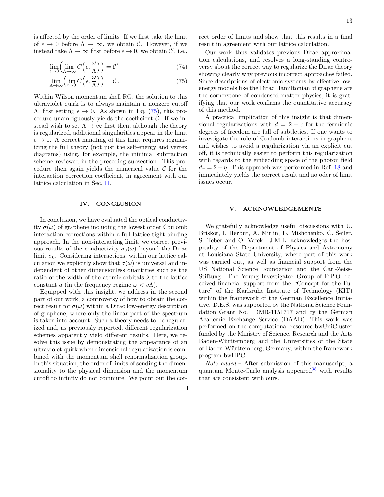is affected by the order of limits. If we first take the limit of  $\epsilon \to 0$  before  $\Lambda \to \infty$ , we obtain C. However, if we instead take  $\Lambda \to \infty$  first before  $\epsilon \to 0$ , we obtain  $\mathcal{C}'$ , i.e.,

$$
\lim_{\epsilon \to 0} \left( \lim_{\Lambda \to \infty} C\left(\epsilon, \frac{\omega}{\Lambda}\right) \right) = \mathcal{C}' \tag{74}
$$

$$
\lim_{\Lambda \to \infty} \left( \lim_{\epsilon \to 0} C\left(\epsilon, \frac{\omega}{\Lambda}\right) \right) = \mathcal{C} \,. \tag{75}
$$

Within Wilson momentum shell RG, the solution to this ultraviolet quirk is to always maintain a nonzero cutoff  $Λ$ , first setting  $\epsilon \to 0$ . As shown in Eq. [\(75\)](#page-14-1), this procedure unambiguously yields the coefficient  $C$ . If we instead wish to set  $\Lambda \to \infty$  first then, although the theory is regularized, additional singularities appear in the limit  $\epsilon \to 0$ . A correct handling of this limit requires regularizing the full theory (not just the self-energy and vertex diagrams) using, for example, the minimal subtraction scheme reviewed in the preceding subsection. This procedure then again yields the numerical value  $\mathcal C$  for the interaction correction coefficient, in agreement with our lattice calculation in Sec. [II.](#page-4-0)

#### <span id="page-14-0"></span>IV. CONCLUSION

In conclusion, we have evaluated the optical conductivity  $\sigma(\omega)$  of graphene including the lowest order Coulomb interaction corrections within a full lattice tight-binding approach. In the non-interacting limit, we correct previous results of the conductivity  $\sigma_0(\omega)$  beyond the Dirac limit  $\sigma_0$ . Considering interactions, within our lattice calculation we explicitly show that  $\sigma(\omega)$  is universal and independent of other dimensionless quantities such as the ratio of the width of the atomic orbitals  $\lambda$  to the lattice constant a (in the frequency regime  $\omega < v \Lambda$ ).

Equipped with this insight, we address in the second part of our work, a controversy of how to obtain the correct result for  $\sigma(\omega)$  within a Dirac low-energy description of graphene, where only the linear part of the spectrum is taken into account. Such a theory needs to be regularized and, as previously reported, different regularization schemes apparently yield different results. Here, we resolve this issue by demonstrating the appearance of an ultraviolet quirk when dimensional regularization is combined with the momentum shell renormalization group. In this situation, the order of limits of sending the dimensionality to the physical dimension and the momentum cutoff to infinity do not commute. We point out the correct order of limits and show that this results in a final result in agreement with our lattice calculation.

<span id="page-14-1"></span>Our work thus validates previous Dirac approximation calculations, and resolves a long-standing controversy about the correct way to regularize the Dirac theory showing clearly why previous incorrect approaches failed. Since descriptions of electronic systems by effective lowenergy models like the Dirac Hamiltonian of graphene are the cornerstone of condensed matter physics, it is gratifying that our work confirms the quantitative accuracy of this method.

A practical implication of this insight is that dimensional regularizations with  $d = 2 - \epsilon$  for the fermionic degrees of freedom are full of subtleties. If one wants to investigate the role of Coulomb interactions in graphene and wishes to avoid a regularization via an explicit cut off, it is technically easier to perform this regularization with regards to the embedding space of the photon field  $d_{\gamma} = 2 - \eta$ . This approach was performed in Ref. [18](#page-21-17) and immediately yields the correct result and no oder of limit issues occur.

#### V. ACKNOWLEDGEMENTS

We gratefully acknowledge useful discussions with U. Briskot, I. Herbut, A. Mirlin, E. Mishchenko, C. Seiler, S. Teber and O. Vafek. J.M.L. acknowledges the hospitality of the Department of Physics and Astronomy at Louisiana State University, where part of this work was carried out, as well as financial support from the US National Science Foundation and the Carl-Zeiss-Stiftung. The Young Investigator Group of P.P.O. received financial support from the "Concept for the Future" of the Karlsruhe Institute of Technology (KIT) within the framework of the German Excellence Initiative. D.E.S. was supported by the National Science Foundation Grant No. DMR-1151717 and by the German Academic Exchange Service (DAAD). This work was performed on the computational resource bwUniCluster funded by the Ministry of Science, Research and the Arts Baden-Württemberg and the Universities of the State of Baden-W¨urttemberg, Germany, within the framework program bwHPC.

Note added.– After submission of this manuscript, a quantum Monte-Carlo analysis appeared  $38$  with results that are consistent with ours.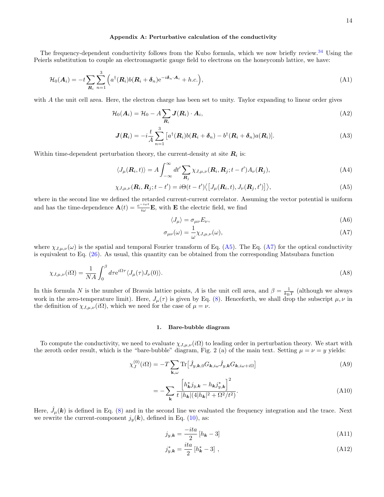The frequency-dependent conductivity follows from the Kubo formula, which we now briefly review.<sup>[34](#page-22-5)</sup> Using the Peierls substitution to couple an electromagnetic gauge field to electrons on the honeycomb lattice, we have:

<span id="page-15-0"></span>
$$
\mathcal{H}_0(\boldsymbol{A}_i) = -t \sum_{\boldsymbol{R}_i} \sum_{n=1}^3 \left( a^\dagger(\boldsymbol{R}_i) b(\boldsymbol{R}_i + \boldsymbol{\delta}_n) e^{-i\boldsymbol{\delta}_n \cdot \boldsymbol{A}_i} + h.c. \right),\tag{A1}
$$

with A the unit cell area. Here, the electron charge has been set to unity. Taylor expanding to linear order gives

$$
\mathcal{H}_0(\mathbf{A}_i) = \mathcal{H}_0 - A \sum_{\mathbf{R}_i} \mathbf{J}(\mathbf{R}_i) \cdot \mathbf{A}_i,
$$
\n(A2)

$$
\mathbf{J}(\mathbf{R}_i) = -i\frac{t}{A} \sum_{n=1}^3 \left[ a^\dagger(\mathbf{R}_i) b(\mathbf{R}_i + \boldsymbol{\delta}_n) - b^\dagger(\mathbf{R}_i + \boldsymbol{\delta}_n) a(\mathbf{R}_i) \right]. \tag{A3}
$$

Within time-dependent perturbation theory, the current-density at site  $R_i$  is:

<span id="page-15-2"></span>
$$
\langle J_{\mu}(\mathbf{R}_i, t) \rangle = A \int_{-\infty}^{\infty} dt' \sum_{\mathbf{R}_j} \chi_{J, \mu, \nu}(\mathbf{R}_i, \mathbf{R}_j; t - t') A_{\nu}(\mathbf{R}_j), \tag{A4}
$$

$$
\chi_{J,\mu,\nu}(\mathbf{R}_i, \mathbf{R}_j; t - t') = i\Theta(t - t') \langle \left[ J_\mu(\mathbf{R}_i, t), J_\nu(\mathbf{R}_j, t') \right] \rangle, \tag{A5}
$$

where in the second line we defined the retarded current-current correlator. Assuming the vector potential is uniform and has the time-dependence  $\mathbf{A}(t) = \frac{e^{-i\omega t}}{i\omega} \mathbf{E}$ , with **E** the electric field, we find

<span id="page-15-3"></span>
$$
\langle J_{\mu} \rangle = \sigma_{\mu\nu} E_{\nu},\tag{A6}
$$

$$
\sigma_{\mu\nu}(\omega) = \frac{1}{\omega} \chi_{J,\mu,\nu}(\omega),\tag{A7}
$$

where  $\chi_{J,\mu,\nu}(\omega)$  is the spatial and temporal Fourier transform of Eq. [\(A5\)](#page-15-2). The Eq. [\(A7\)](#page-15-3) for the optical conductivity is equivalent to Eq. [\(26\)](#page-7-5). As usual, this quantity can be obtained from the corresponding Matsubara function

$$
\chi_{J,\mu,\nu}(i\Omega) = \frac{1}{NA} \int_0^\beta d\tau e^{i\Omega \tau} \langle J_\mu(\tau) J_\nu(0) \rangle.
$$
 (A8)

In this formula N is the number of Bravais lattice points, A is the unit cell area, and  $\beta = \frac{1}{k_B T}$  (although we always work in the zero-temperature limit). Here,  $J_\mu(\tau)$  is given by Eq. [\(8\)](#page-4-3). Henceforth, we shall drop the subscript  $\mu, \nu$  in the definition of  $\chi_{J,\mu,\nu}(i\Omega)$ , which we need for the case of  $\mu = \nu$ .

#### <span id="page-15-1"></span>1. Bare-bubble diagram

To compute the conductivity, we need to evaluate  $\chi_{J,\mu,\nu}(\Omega)$  to leading order in perturbation theory. We start with the zeroth order result, which is the "bare-bubble" diagram, Fig. 2 (a) of the main text. Setting  $\mu = \nu = y$  yields:

$$
\chi_J^{(0)}(i\Omega) = -T \sum_{\mathbf{k},\omega} \text{Tr} \left[ \hat{J}_{y,\mathbf{k},0} G_{\mathbf{k},i\omega} \hat{J}_{y,\mathbf{k}} G_{\mathbf{k},i\omega+i\Omega} \right]
$$
\n
$$
\left[ h_{\mathbf{k}}^* j_{y,\mathbf{k}} - h_{\mathbf{k}} j_{y,\mathbf{k}}^* \right]^2
$$
\n(A9)

$$
= -\sum_{\mathbf{k}} \frac{\left\lfloor \frac{h_{\mathbf{k}}^2 y_{\mathbf{k}} - h_{\mathbf{k}}^2 y_{\mathbf{k}}}{t \left| h_{\mathbf{k}} \right| (4|h_{\mathbf{k}})^2 + \Omega^2 / t^2 \right\}}.
$$
\n(A10)

Here,  $\hat{J}_{\mu}(\mathbf{k})$  is defined in Eq. [\(8\)](#page-4-3) and in the second line we evaluated the frequency integration and the trace. Next we rewrite the current-component  $j_y(\mathbf{k})$ , defined in Eq. [\(10\)](#page-5-7), as:

$$
j_{y,k} = \frac{-ita}{2} \left[ h_k - 3 \right] \tag{A11}
$$

$$
j_{y,k}^* = \frac{ita}{2} [h_k^* - 3], \qquad (A12)
$$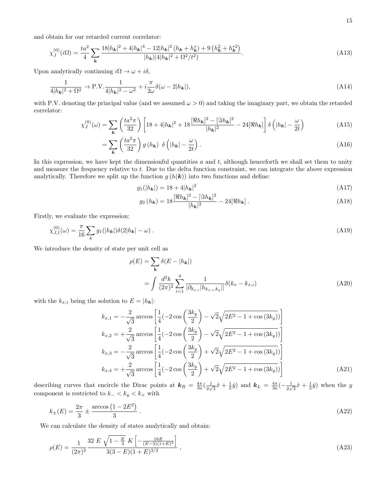and obtain for our retarded current correlator:

$$
\chi_{J}^{(0)}(i\Omega) = \frac{ta^2}{4} \sum_{\mathbf{k}} \frac{18|h_{\mathbf{k}}|^2 + 4|h_{\mathbf{k}}|^4 - 12|h_{\mathbf{k}}|^2(h_{\mathbf{k}} + h_{\mathbf{k}}^*) + 9(h_{\mathbf{k}}^2 + h_{\mathbf{k}}^{*2})}{|h_{\mathbf{k}}|(4|h_{\mathbf{k}}|^2 + \Omega^2/t^2)}.
$$
\n(A13)

Upon analytically continuing  $i\Omega \to \omega + i\delta$ ,

$$
\frac{1}{4|h_{\mathbf{k}}|^2 + \Omega^2} \to \text{P.V.} \frac{1}{4|h_{\mathbf{k}}|^2 - \omega^2} + i\frac{\pi}{2\omega}\delta(\omega - 2|h_{\mathbf{k}}|),\tag{A14}
$$

with P.V. denoting the principal value (and we assumed  $\omega > 0$ ) and taking the imaginary part, we obtain the retarded correlator:

<span id="page-16-0"></span>
$$
\chi_J^{(0)}(\omega) = \sum_{\mathbf{k}} \left( \frac{ta^2 \pi}{32} \right) \left[ 18 + 4|h_{\mathbf{k}}|^2 + 18 \frac{[\Re h_{\mathbf{k}}]^2 - [\Im h_{\mathbf{k}}]^2}{|h_{\mathbf{k}}|^2} - 24[\Re h_{\mathbf{k}}] \right] \delta \left( |h_{\mathbf{k}}| - \frac{\omega}{2t} \right) \tag{A15}
$$

$$
=\sum_{\mathbf{k}}\left(\frac{ta^2\pi}{32}\right)g\left(h_{\mathbf{k}}\right)\delta\left(|h_{\mathbf{k}}|-\frac{\omega}{2t}\right).
$$
\n(A16)

In this expression, we have kept the dimensionful quantities  $a$  and  $t$ , although henceforth we shall set them to unity and measure the frequency relative to t. Due to the delta function constraint, we can integrate the above expression analytically. Therefore we split up the function  $g(h(\mathbf{k}))$  into two functions and define:

$$
g_1(|h_{\mathbf{k}}|) = 18 + 4|h_{\mathbf{k}}|^2 \tag{A17}
$$

$$
g_2(h_{\mathbf{k}}) = 18 \frac{[\Re h_{\mathbf{k}}]^2 - [\Im h_{\mathbf{k}}]^2}{|h_{\mathbf{k}}|^2} - 24[\Re h_{\mathbf{k}}].
$$
 (A18)

Firstly, we evaluate the expression:

$$
\chi_{J,1}^{(0)}(\omega) = \frac{\pi}{16} \sum_{k} g_1(|h_{\mathbf{k}}|) \delta(2|h_{\mathbf{k}}| - \omega) \,. \tag{A19}
$$

We introduce the density of state per unit cell as

$$
\rho(E) = \sum_{\mathbf{k}} \delta(E - |h_{\mathbf{k}}|)
$$
  
= 
$$
\int \frac{d^2 k}{(2\pi)^2} \sum_{i=1}^4 \frac{1}{|\partial_{k_{x,i}}| h_{k_{x,i},k_y}|} \delta(k_x - k_{x,i})
$$
 (A20)

with the  $k_{x,i}$  being the solution to  $E = |h_{\mathbf{k}}|$ :

$$
k_{x,1} = -\frac{2}{\sqrt{3}} \arccos\left[\frac{1}{4}(-2\cos\left(\frac{3k_y}{2}\right) - \sqrt{2}\sqrt{2E^2 - 1 + \cos(3k_y)})\right]
$$
  
\n
$$
k_{x,2} = +\frac{2}{\sqrt{3}} \arccos\left[\frac{1}{4}(-2\cos\left(\frac{3k_y}{2}\right) - \sqrt{2}\sqrt{2E^2 - 1 + \cos(3k_y)})\right]
$$
  
\n
$$
k_{x,3} = -\frac{2}{\sqrt{3}} \arccos\left[\frac{1}{4}(-2\cos\left(\frac{3k_y}{2}\right) + \sqrt{2}\sqrt{2E^2 - 1 + \cos(3k_y)})\right]
$$
  
\n
$$
k_{x,4} = +\frac{2}{\sqrt{3}} \arccos\left[\frac{1}{4}(-2\cos\left(\frac{3k_y}{2}\right) + \sqrt{2}\sqrt{2E^2 - 1 + \cos(3k_y)})\right]
$$
\n(A21)

describing curves that encircle the Dirac points at  $k_R = \frac{4\pi}{3a}(\frac{1}{2\sqrt{a}})$  $\frac{1}{2\sqrt{3}}\hat{x}+\frac{1}{2}\hat{y}$ ) and  $\bm{k}_{L}=\frac{4\pi}{3a}(-\frac{1}{2\sqrt{3}})$  $\frac{1}{2\sqrt{3}}\hat{x} + \frac{1}{2}\hat{y}$  when the y component is restricted to  $k_- < k_y < k_+$  with

$$
k_{\pm}(E) = \frac{2\pi}{3} \pm \frac{\arccos\left(1 - 2E^2\right)}{3} \,. \tag{A22}
$$

We can calculate the density of states analytically and obtain:

$$
\rho(E) = \frac{1}{(2\pi)^2} \frac{32 \ E \ \sqrt{1 - \frac{E}{3}} \ K \left[ -\frac{16E}{(E-3)(1+E)^3} \right]}{3(3-E)(1+E)^{3/2}}, \tag{A23}
$$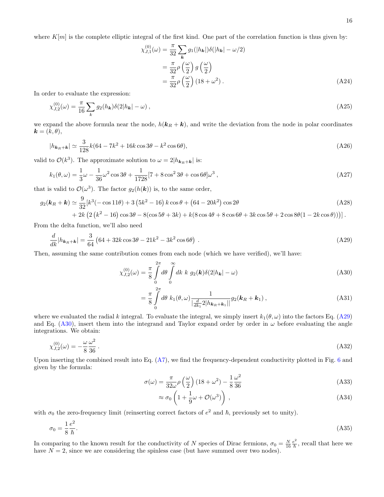16

where  $K[m]$  is the complete elliptic integral of the first kind. One part of the correlation function is thus given by:

$$
\chi_{J,1}^{(0)}(\omega) = \frac{\pi}{32} \sum_{\mathbf{k}} g_1(|h_{\mathbf{k}}|) \delta(|h_{\mathbf{k}}| - \omega/2)
$$
  
= 
$$
\frac{\pi}{32} \rho \left(\frac{\omega}{2}\right) g\left(\frac{\omega}{2}\right)
$$
  
= 
$$
\frac{\pi}{32} \rho \left(\frac{\omega}{2}\right) (18 + \omega^2).
$$
 (A24)

In order to evaluate the expression:

$$
\chi_{J,2}^{(0)}(\omega) = \frac{\pi}{16} \sum_{k} g_2(h_k) \delta(2|h_k| - \omega) , \qquad (A25)
$$

we expand the above formula near the node,  $h(\mathbf{k}_R + \mathbf{k})$ , and write the deviation from the node in polar coordinates  $\mathbf{k} = (k, \theta),$ 

$$
|h_{k_R+k}| \simeq \frac{3}{128}k(64 - 7k^2 + 16k\cos 3\theta - k^2\cos 6\theta),
$$
 (A26)

valid to  $\mathcal{O}(k^3)$ . The approximate solution to  $\omega = 2|h_{k_R+k}|$  is:

$$
k_1(\theta,\omega) = \frac{1}{3}\omega - \frac{1}{36}\omega^2\cos 3\theta + \frac{1}{1728}[7 + 8\cos^2 3\theta + \cos 6\theta]\omega^3,
$$
 (A27)

that is valid to  $\mathcal{O}(\omega^3)$ . The factor  $g_2(h(\mathbf{k}))$  is, to the same order,

$$
(\mathbf{k}_R + \mathbf{k}) \simeq \frac{9}{32} [k^3(-\cos 11\theta) + 3 (5k^2 - 16) k \cos \theta + (64 - 20k^2) \cos 2\theta + 2k (2 (k^2 - 16) \cos 3\theta - 8(\cos 5\theta + 3k) + k(8 \cos 4\theta + 8 \cos 6\theta + 3k \cos 5\theta + 2 \cos 8\theta (1 - 2k \cos \theta))].
$$
\n(A28)

From the delta function, we'll also need

 $g_2$ 

$$
\frac{d}{dk}|h_{k_R+k}| = \frac{3}{64} \left(64 + 32k\cos 3\theta - 21k^2 - 3k^2\cos 6\theta\right) \,. \tag{A29}
$$

Then, assuming the same contribution comes from each node (which we have verified), we'll have:

<span id="page-17-1"></span><span id="page-17-0"></span>
$$
\chi_{J,2}^{(0)}(\omega) = \frac{\pi}{8} \int_{0}^{2\pi} d\theta \int_{0}^{\infty} dk \, k \, g_2(\mathbf{k}) \delta(2|h_{\mathbf{k}}| - \omega) \tag{A30}
$$

$$
= \frac{\pi}{8} \int_{0}^{2\pi} d\theta \ k_{1}(\theta,\omega) \frac{1}{\left|\frac{d}{dk_{1}}2|h_{k_{R}+k_{1}}|\right|} g_{2}(\mathbf{k}_{R}+\mathbf{k}_{1}), \qquad (A31)
$$

where we evaluated the radial k integral. To evaluate the integral, we simply insert  $k_1(\theta, \omega)$  into the factors Eq. [\(A29\)](#page-17-0) and Eq. [\(A30\)](#page-17-1), insert them into the integrand and Taylor expand order by order in  $\omega$  before evaluating the angle integrations. We obtain:

$$
\chi_{J,2}^{(0)}(\omega) = -\frac{\omega}{8} \frac{\omega^2}{36} \,. \tag{A32}
$$

Upon inserting the combined result into Eq.  $(A7)$ , we find the frequency-dependent conductivity plotted in Fig. [6](#page-7-4) and given by the formula:

$$
\sigma(\omega) = \frac{\pi}{32\omega} \rho\left(\frac{\omega}{2}\right) \left(18 + \omega^2\right) - \frac{1}{8} \frac{\omega^2}{36}
$$
\n(A33)

$$
\approx \sigma_0 \left( 1 + \frac{1}{9} \omega + \mathcal{O}(\omega^3) \right) , \tag{A34}
$$

with  $\sigma_0$  the zero-frequency limit (reinserting correct factors of  $e^2$  and  $\hbar$ , previously set to unity).

$$
\sigma_0 = \frac{1}{8} \frac{e^2}{\hbar}.\tag{A35}
$$

In comparing to the known result for the conductivity of N species of Dirac fermions,  $\sigma_0 = \frac{N}{16} \frac{e^2}{\hbar}$ , recall that here we have  $N = 2$ , since we are considering the spinless case (but have summed over two nodes).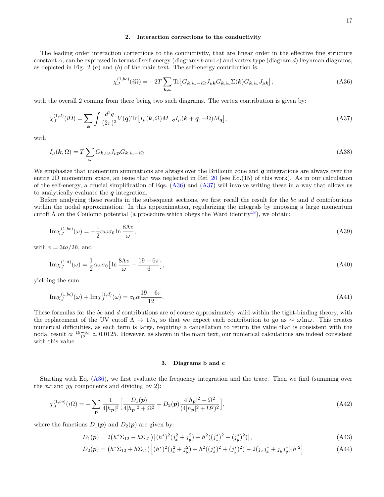#### <span id="page-18-3"></span><span id="page-18-0"></span>2. Interaction corrections to the conductivity

The leading order interaction corrections to the conductivity, that are linear order in the effective fine structure constant  $\alpha$ , can be expressed in terms of self-energy (diagrams b and c) and vertex type (diagram d) Feynman diagrams, as depicted in Fig. 2  $(a)$  and  $(b)$  of the main text. The self-energy contribution is:

<span id="page-18-2"></span>
$$
\chi_J^{(1,bc)}(i\Omega) = -2T \sum_{\mathbf{k},\omega} \text{Tr} \left[ G_{\mathbf{k},i\omega - i\Omega} J_{\mu\mathbf{k}} G_{\mathbf{k},i\omega} \Sigma(\mathbf{k}) G_{\mathbf{k},i\omega} J_{\mu\mathbf{k}} \right],\tag{A36}
$$

with the overall 2 coming from there being two such diagrams. The vertex contribution is given by:

$$
\chi_J^{(1,d)}(i\Omega) = \sum_{\mathbf{k}} \int \frac{d^2q}{(2\pi)^2} V(\mathbf{q}) \text{Tr} \left[ I_\mu(\mathbf{k}, \Omega) M_{-\mathbf{q}} I_\mu(\mathbf{k} + \mathbf{q}, -\Omega) M_{\mathbf{q}} \right],\tag{A37}
$$

with

<span id="page-18-4"></span>
$$
I_{\mu}(\mathbf{k},\Omega) = T \sum_{\omega} G_{\mathbf{k},i\omega} J_{\mu\mathbf{p}} G_{\mathbf{k},i\omega - i\Omega}.
$$
\n(A38)

We emphasize that momentum summations are always over the Brillouin zone and  $q$  integrations are always over the entire 2D momentum space, an issue that was neglected in Ref. [20](#page-21-20) (see Eq.(15) of this work). As in our calculation of the self-energy, a crucial simplification of Eqs. [\(A36\)](#page-18-2) and [\(A37\)](#page-18-3) will involve writing these in a way that allows us to analytically evaluate the  $q$  integration.

Before analyzing these results in the subsequent sections, we first recall the result for the  $bc$  and  $d$  contributions within the nodal approximation. In this approximation, regularizing the integrals by imposing a large momentum cutoff  $\Lambda$  on the Coulomb potential (a procedure which obeys the Ward identity<sup>[18](#page-21-17)</sup>), we obtain:

$$
\mathrm{Im}\chi_{J}^{(1,bc)}(\omega) = -\frac{1}{2}\alpha\omega\sigma_{0}\ln\frac{8\Lambda v}{\omega},\tag{A39}
$$

with  $v = 3ta/2\hbar$ , and

$$
\operatorname{Im}\chi_{J}^{(1,d)}(\omega) = \frac{1}{2}\alpha\omega\sigma_{0}\left[\ln\frac{8\Lambda v}{\omega} + \frac{19 - 6\pi}{6}\right],\tag{A40}
$$

yielding the sum

$$
\text{Im}\chi_{J}^{(1,bc)}(\omega) + \text{Im}\chi_{J}^{(1,d)}(\omega) = \sigma_{0}\alpha \frac{19 - 6\pi}{12}.
$$
\n(A41)

These formulas for the bc and d contributions are of course approximately valid within the tight-binding theory, with the replacement of the UV cutoff  $\Lambda \to 1/a$ , so that we expect each contribution to go as  $\sim \omega \ln \omega$ . This creates numerical difficulties, as each term is large, requiring a cancellation to return the value that is consistent with the nodal result  $\propto \frac{19-6\pi}{12} \simeq 0.0125$ . However, as shown in the main text, our numerical calculations are indeed consistent with this value.

#### <span id="page-18-1"></span>3. Diagrams b and c

Starting with Eq. [\(A36\)](#page-18-2), we first evaluate the frequency integration and the trace. Then we find (summing over the  $xx$  and  $yy$  components and dividing by 2):

$$
\chi_{J}^{(1,bc)}(i\Omega) = -\sum_{\mathbf{p}} \frac{1}{4|h_{\mathbf{p}}|^3} \Big[ \frac{D_1(\mathbf{p})}{4|h_{\mathbf{p}}|^2 + \Omega^2} + D_2(\mathbf{p}) \frac{4|h_{\mathbf{p}}|^2 - \Omega^2}{(4|h_{\mathbf{p}}|^2 + \Omega^2)^2} \Big],\tag{A42}
$$

where the functions  $D_1(p)$  and  $D_2(p)$  are given by:

$$
D_1(\mathbf{p}) = 2(h^* \Sigma_{12} - h \Sigma_{21}) [(h^*)^2 (j_x^2 + j_y^2) - h^2 ((j_x^*)^2 + (j_y^*)^2)], \qquad (A43)
$$

$$
D_2(\mathbf{p}) = (h^* \Sigma_{12} + h \Sigma_{21}) \left[ (h^*)^2 (j_x^2 + j_y^2) + h^2 ((j_x^*)^2 + (j_y^*)^2) - 2(j_x j_x^* + j_y j_y^*) |h|^2 \right]
$$
(A44)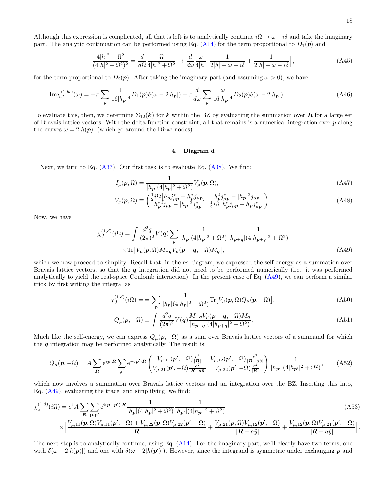Although this expression is complicated, all that is left is to analytically continue  $i\Omega \to \omega + i\delta$  and take the imaginary part. The analytic continuation can be performed using Eq.  $(A14)$  for the term proportional to  $D_1(p)$  and

$$
\frac{4|h|^2 - \Omega^2}{(4|h|^2 + \Omega^2)^2} = \frac{d}{d\Omega} \frac{\Omega}{4|h|^2 + \Omega^2} \to \frac{d}{d\omega} \frac{\omega}{4|h|} \Big[ \frac{1}{2|h| + \omega + i\delta} + \frac{1}{2|h| - \omega - i\delta} \Big],\tag{A45}
$$

for the term proportional to  $D_2(p)$ . After taking the imaginary part (and assuming  $\omega > 0$ ), we have

$$
\mathrm{Im}\chi_{J}^{(1,bc)}(\omega) = -\pi \sum_{\mathbf{p}} \frac{1}{16|h_{\mathbf{p}}|^4} D_1(\mathbf{p})\delta(\omega - 2|h_{\mathbf{p}}|) - \pi \frac{d}{d\omega} \sum_{\mathbf{p}} \frac{\omega}{16|h_{\mathbf{p}}|^4} D_2(\mathbf{p})\delta(\omega - 2|h_{\mathbf{p}}|). \tag{A46}
$$

To evaluate this, then, we determine  $\Sigma_{12}(k)$  for k within the BZ by evaluating the summation over R for a large set of Bravais lattice vectors. With the delta function constraint, all that remains is a numerical integration over  $p$  along the curves  $\omega = 2|h(p)|$  (which go around the Dirac nodes).

#### <span id="page-19-0"></span>4. Diagram d

Next, we turn to Eq.  $(A37)$ . Our first task is to evaluate Eq.  $(A38)$ . We find:

<span id="page-19-2"></span>
$$
I_{\mu}(\mathbf{p}, \Omega) = \frac{1}{|h_{\mathbf{p}}|(4|h_{\mathbf{p}}|^2 + \Omega^2)} V_{\mu}(\mathbf{p}, \Omega),
$$
\n(A47)

$$
V_{\mu}(\mathbf{p},\Omega) \equiv \begin{pmatrix} \frac{1}{2}i\Omega \left[ h_{\mathbf{p}}j_{\mu\mathbf{p}}^{*} - h_{\mathbf{p}}^{*}j_{\mu\mathbf{p}} \right] & h_{\mathbf{p}}^{2}j_{\mu\mathbf{p}}^{*} - |h_{\mathbf{p}}|^{2}j_{\mu\mathbf{p}} \\ h_{\mathbf{p}}^{*2}j_{\mu\mathbf{p}} - |h_{\mathbf{p}}|^{2}j_{\mu\mathbf{p}}^{*} & \frac{1}{2}i\Omega \left[ h_{\mathbf{p}}^{*}j_{\mu\mathbf{p}} - h_{\mathbf{p}}j_{\mu\mathbf{p}}^{*} \right] \end{pmatrix} . \tag{A48}
$$

Now, we have

<span id="page-19-1"></span>
$$
\chi_{J}^{(1,d)}(i\Omega) = \int \frac{d^2q}{(2\pi)^2} V(q) \sum_{\mathbf{p}} \frac{1}{|h_{\mathbf{p}}|(4|h_{\mathbf{p}}|^2 + \Omega^2)} \frac{1}{|h_{\mathbf{p}+\mathbf{q}}|(4|h_{\mathbf{p}+\mathbf{q}}|^2 + \Omega^2)} \times \text{Tr}\left[V_{\mu}(\mathbf{p}, \Omega)M_{-\mathbf{q}}V_{\mu}(\mathbf{p}+\mathbf{q}, -\Omega)M_{\mathbf{q}}\right],
$$
\n(A49)

which we now proceed to simplify. Recall that, in the bc diagram, we expressed the self-energy as a summation over Bravais lattice vectors, so that the  $q$  integration did not need to be performed numerically (i.e., it was performed analytically to yield the real-space Coulomb interaction). In the present case of Eq. [\(A49\)](#page-19-1), we can perform a similar trick by first writing the integral as

$$
\chi_J^{(1,d)}(i\Omega) = \sum_{\mathbf{p}} \frac{1}{|h_{\mathbf{p}}|(4|h_{\mathbf{p}}|^2 + \Omega^2)} \text{Tr}\left[V_{\mu}(\mathbf{p}, \Omega) Q_{\mu}(\mathbf{p}, -\Omega)\right],\tag{A50}
$$

$$
Q_{\mu}(\mathbf{p}, -\Omega) \equiv \int \frac{d^2 q}{(2\pi)^2} V(\mathbf{q}) \frac{M_{-\mathbf{q}} V_{\mu}(\mathbf{p} + \mathbf{q}, -\Omega) M_{\mathbf{q}}}{|h_{\mathbf{p} + \mathbf{q}}|(4|h_{\mathbf{p} + \mathbf{q}}|^2 + \Omega^2)},
$$
(A51)

Much like the self-energy, we can express  $Q_\mu(\mathbf{p}, -\Omega)$  as a sum over Bravais lattice vectors of a summand for which the  $q$  integration may be performed analytically. The result is:

$$
Q_{\mu}(\mathbf{p}, -\Omega) = A \sum_{\mathbf{R}} e^{i\mathbf{p}\cdot\mathbf{R}} \sum_{\mathbf{p}'} e^{-i\mathbf{p}'\cdot\mathbf{R}} \left( \frac{V_{\mu,11}(\mathbf{p}', -\Omega) \frac{e^2}{|\mathbf{R}|}}{V_{\mu,21}(\mathbf{p}', -\Omega) \frac{e^2}{|\mathbf{R} - a\hat{y}|}} \frac{V_{\mu,12}(\mathbf{p}', -\Omega) \frac{e^2}{|\mathbf{R} - a\hat{y}|}}{V_{\mu,22}(\mathbf{p}', -\Omega) \frac{e^2}{|\mathbf{R}|}} \right) \frac{1}{|h_{\mathbf{p}'}|(4|h_{\mathbf{p}'}|^2 + \Omega^2)},\tag{A52}
$$

which now involves a summation over Bravais lattice vectors and an integration over the BZ. Inserting this into, Eq.  $(A49)$ , evaluating the trace, and simplifying, we find:

$$
\chi_{J}^{(1,d)}(i\Omega) = e^2 A \sum_{\mathbf{R}} \sum_{\mathbf{p},\mathbf{p}'} e^{i(\mathbf{p}-\mathbf{p}')\cdot\mathbf{R}} \frac{1}{|h_{\mathbf{p}}|(4|h_{\mathbf{p}}|^2 + \Omega^2)} \frac{1}{|h_{\mathbf{p}'}|(4|h_{\mathbf{p}'}|^2 + \Omega^2)} \tag{A53}
$$
\n
$$
\times \left[ \frac{V_{\mu,11}(\mathbf{p},\Omega)V_{\mu,11}(\mathbf{p}',-\Omega) + V_{\mu,22}(\mathbf{p},\Omega)V_{\mu,22}(\mathbf{p}',-\Omega)}{|\mathbf{R}|} + \frac{V_{\mu,21}(\mathbf{p},\Omega)V_{\mu,12}(\mathbf{p}',-\Omega)}{|\mathbf{R}-a\hat{y}|} + \frac{V_{\mu,12}(\mathbf{p},\Omega)V_{\mu,21}(\mathbf{p}',-\Omega)}{|\mathbf{R}+a\hat{y}|} \right].
$$

The next step is to analytically continue, using Eq. [\(A14\)](#page-16-0). For the imaginary part, we'll clearly have two terms, one with  $\delta(\omega - 2[h(p)])$  and one with  $\delta(\omega - 2[h(p')])$ . However, since the integrand is symmetric under exchanging p and

.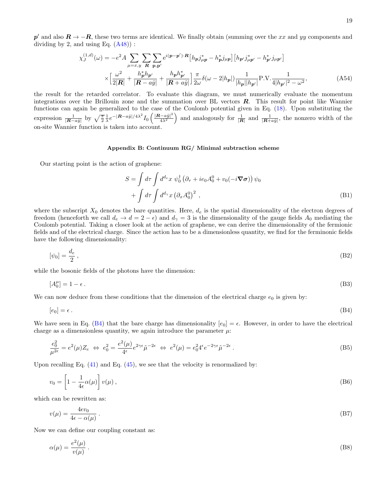p' and also  $R \to -R$ , these two terms are identical. We finally obtain (summing over the xx and yy components and dividing by 2, and using Eq.  $(A48)$ :

$$
\chi_{J}^{(1,d)}(\omega) = -e^2 A \sum_{\mu=x,y} \sum_{\mathbf{R}} \sum_{\mathbf{p},\mathbf{p}'} e^{i(\mathbf{p}-\mathbf{p}')\cdot\mathbf{R}} \left[ h_{\mathbf{p}} j_{\mu\mathbf{p}}^* - h_{\mathbf{p}}^* j_{\mu\mathbf{p}} \right] \left[ h_{\mathbf{p}'} j_{\mu\mathbf{p}'}^* - h_{\mathbf{p}'}^* j_{\mu\mathbf{p}'} \right]
$$
\n
$$
\times \left[ \frac{\omega^2}{2|\mathbf{R}|} + \frac{h_{\mathbf{p}}^* h_{\mathbf{p}'}}{|\mathbf{R} - a\hat{y}|} + \frac{h_{\mathbf{p}} h_{\mathbf{p}'}^*}{|\mathbf{R} + a\hat{y}|} \right] \frac{\pi}{2\omega} \delta(\omega - 2|h_{\mathbf{p}}|) \frac{1}{|h_{\mathbf{p}}||h_{\mathbf{p}'}|} \text{P.V.} \frac{1}{4|h_{\mathbf{p}'}|^2 - \omega^2},\tag{A54}
$$

the result for the retarded correlator. To evaluate this diagram, we must numerically evaluate the momentum integrations over the Brillouin zone and the summation over BL vectors  $\bf{R}$ . This result for point like Wannier functions can again be generalized to the case of the Coulomb potential given in Eq. [\(18\)](#page-6-6). Upon substituting the expression  $\frac{1}{|\mathbf{R}-a\hat{y}|}$  by  $\sqrt{\frac{\pi}{2}} \frac{1}{\lambda} e^{-|\mathbf{R}-a\hat{y}|/4\lambda^2} I_0 \left( \frac{|\mathbf{R}-a\hat{y}|^2}{4\lambda^2} \right)$  $\frac{(-a\hat{y})^2}{4\lambda^2}$  and analogously for  $\frac{1}{|R|}$  and  $\frac{1}{|R+a\hat{y}|}$ , the nonzero width of the on-site Wannier function is taken into account.

#### <span id="page-20-0"></span>Appendix B: Continuum RG/ Minimal subtraction scheme

Our starting point is the action of graphene:

<span id="page-20-1"></span>
$$
S = \int d\tau \int d^{d_e}x \ \psi_0^{\dagger} \left(\partial_{\tau} + ie_0 A_0^0 + v_0(-i\nabla \sigma)\right) \psi_0
$$

$$
+ \int d\tau \int d^{d_\gamma}x \left(\partial_x A_0^0\right)^2 , \tag{B1}
$$

where the subscript  $X_0$  denotes the bare quantities. Here,  $d_e$  is the spatial dimensionality of the electron degrees of freedom (henceforth we call  $d_e \to d = 2 - \epsilon$ ) and  $d_\gamma = 3$  is the dimensionality of the gauge fields  $A_0$  mediating the Coulomb potential. Taking a closer look at the action of graphene, we can derive the dimensionality of the fermionic fields and of the electrical charge. Since the action has to be a dimensionless quantity, we find for the ferminonic fields have the following dimensionality:

$$
[\psi_0] = \frac{d_e}{2} \,,\tag{B2}
$$

while the bosonic fields of the photons have the dimension:

$$
[A_0^{\mu}] = 1 - \epsilon \tag{B3}
$$

We can now deduce from these conditions that the dimension of the electrical charge  $e_0$  is given by:

$$
[e_0] = \epsilon \tag{B4}
$$

We have seen in Eq. [\(B4\)](#page-20-1) that the bare charge has dimensionality  $[e_0] = \epsilon$ . However, in order to have the electrical charge as a dimensionless quantity, we again introduce the parameter  $\mu$ :

<span id="page-20-2"></span>
$$
\frac{e_0^2}{\mu^{2\epsilon}} = e^2(\mu)Z_e \iff e_0^2 = \frac{e^2(\mu)}{4^{\epsilon}}e^{2\gamma\epsilon}\tilde{\mu}^{-2\epsilon} \iff e^2(\mu) = e_0^2 4^{\epsilon}e^{-2\gamma\epsilon}\tilde{\mu}^{-2\epsilon} \tag{B5}
$$

Upon recalling Eq.  $(41)$  and Eq.  $(45)$ , we see that the velocity is renormalized by:

$$
v_0 = \left[1 - \frac{1}{4\epsilon}\alpha(\mu)\right]v(\mu),\tag{B6}
$$

which can be rewritten as:

<span id="page-20-3"></span>
$$
v(\mu) = \frac{4\epsilon v_0}{4\epsilon - \alpha(\mu)}\,. \tag{B7}
$$

Now we can define our coupling constant as:

$$
\alpha(\mu) = \frac{e^2(\mu)}{v(\mu)}\,. \tag{B8}
$$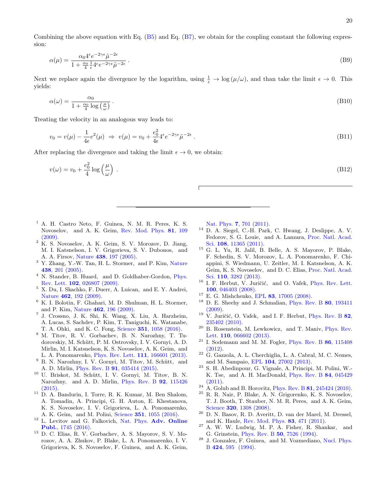20

Combining the above equation with Eq. [\(B5\)](#page-20-2) and Eq. [\(B7\)](#page-20-3), we obtain for the coupling constant the following expression:

$$
\alpha(\mu) = \frac{\alpha_0 4^{\epsilon} e^{-2\gamma \epsilon} \tilde{\mu}^{-2\epsilon}}{1 + \frac{\alpha_0}{4} \frac{1}{\epsilon} 4^{\epsilon} e^{-2\gamma \epsilon} \tilde{\mu}^{-2\epsilon}}.
$$
\n(B9)

Next we replace again the divergence by the logarithm, using  $\frac{1}{\epsilon} \to \log(\mu/\omega)$ , and than take the limit  $\epsilon \to 0$ . This yields:

$$
\alpha(\omega) = \frac{\alpha_0}{1 + \frac{\alpha_0}{4} \log\left(\frac{\mu}{\omega}\right)}.
$$
\n(B10)

Treating the velocity in an analogous way leads to:

$$
v_0 = v(\mu) - \frac{1}{4\epsilon}e^2(\mu) \implies v(\mu) = v_0 + \frac{e_0^2}{4\epsilon}4^{\epsilon}e^{-2\gamma\epsilon}\tilde{\mu}^{-2\epsilon}.
$$
 (B11)

After replacing the divergence and taking the limit  $\epsilon \to 0$ , we obtain:

$$
v(\omega) = v_0 + \frac{e_0^2}{4} \log \left(\frac{\mu}{\omega}\right) \tag{B12}
$$

- <span id="page-21-0"></span><sup>1</sup> A. H. Castro Neto, F. Guinea, N. M. R. Peres, K. S. Novoselov, and A. K. Geim, [Rev. Mod. Phys.](http://dx.doi.org/ 10.1103/RevModPhys.81.109) 81, 109 [\(2009\).](http://dx.doi.org/ 10.1103/RevModPhys.81.109)
- <span id="page-21-1"></span><sup>2</sup> K. S. Novoselov, A. K. Geim, S. V. Morozov, D. Jiang, M. I. Katsnelson, I. V. Grigorieva, S. V. Dubonos, and A. A. Firsov, Nature 438[, 197 \(2005\).](http://dx.doi.org/10.1038/nature04233)
- <span id="page-21-2"></span><sup>3</sup> Y. Zhang, Y.-W. Tan, H. L. Stormer, and P. Kim, [Nature](http://dx.doi.org/10.1038/nature04235) 438[, 201 \(2005\).](http://dx.doi.org/10.1038/nature04235)
- <span id="page-21-3"></span>N. Stander, B. Huard, and D. Goldhaber-Gordon, [Phys.](http://dx.doi.org/10.1103/PhysRevLett.102.026807) Rev. Lett. 102[, 026807 \(2009\).](http://dx.doi.org/10.1103/PhysRevLett.102.026807)
- <span id="page-21-4"></span><sup>5</sup> X. Du, I. Skachko, F. Duerr, A. Luican, and E. Y. Andrei, Nature 462[, 192 \(2009\).](http://dx.doi.org/10.1038/nature08522)
- <span id="page-21-5"></span><sup>6</sup> K. I. Bolotin, F. Ghahari, M. D. Shulman, H. L. Stormer, and P. Kim, Nature 462[, 196 \(2009\).](http://dx.doi.org/10.1038/nature08582)
- <span id="page-21-6"></span>7 J. Crossno, J. K. Shi, K. Wang, X. Liu, A. Harzheim, A. Lucas, S. Sachdev, P. Kim, T. Taniguchi, K. Watanabe, T. A. Ohki, and K. C. Fong, Science 351[, 1058 \(2016\).](http://dx.doi.org/10.1126/science.aad0343)
- <sup>8</sup> M. Titov, R. V. Gorbachev, B. N. Narozhny, T. Tudorovskiy, M. Schütt, P. M. Ostrovsky, I. V. Gornyi, A. D. Mirlin, M. I. Katsnelson, K. S. Novoselov, A. K. Geim, and L. A. Ponomarenko, [Phys. Rev. Lett.](http://dx.doi.org/10.1103/PhysRevLett.111.166601) 111, 166601 (2013).
- <sup>9</sup> B. N. Narozhny, I. V. Gornyi, M. Titov, M. Schütt, and
- A. D. Mirlin, Phys. Rev. B 91[, 035414 \(2015\).](http://dx.doi.org/10.1103/PhysRevB.91.035414)
- <sup>10</sup> U. Briskot, M. Schütt, I. V. Gornyi, M. Titov, B. N. Narozhny, and A. D. Mirlin, [Phys. Rev. B](http://dx.doi.org/ 10.1103/PhysRevB.92.115426) 92, 115426 [\(2015\).](http://dx.doi.org/ 10.1103/PhysRevB.92.115426)
- <sup>11</sup> D. A. Bandurin, I. Torre, R. K. Kumar, M. Ben Shalom, A. Tomadin, A. Principi, G. H. Auton, E. Khestanova, K. S. Novoselov, I. V. Grigorieva, L. A. Ponomarenko, A. K. Geim, and M. Polini, Science 351[, 1055 \(2016\).](http://dx.doi.org/10.1126/science.aad0201)
- <span id="page-21-7"></span><sup>12</sup> L. Levitov and G. Falkovich, Nat. Phys. [Adv. Online](http://dx.doi.org/10.1038/nphys3667) Publ.[, 1745 \(2016\).](http://dx.doi.org/10.1038/nphys3667)
- <span id="page-21-8"></span><sup>13</sup> D. C. Elias, R. V. Gorbachev, A. S. Mayorov, S. V. Morozov, A. A. Zhukov, P. Blake, L. A. Ponomarenko, I. V. Grigorieva, K. S. Novoselov, F. Guinea, and A. K. Geim,

Nat. Phys. **7**[, 701 \(2011\).](http://dx.doi.org/ doi:10.1038/nphys2049)

- <span id="page-21-9"></span><sup>14</sup> D. A. Siegel, C.-H. Park, C. Hwang, J. Deslippe, A. V. Fedorov, S. G. Louie, and A. Lanzara, [Proc. Natl. Acad.](http://dx.doi.org/ 10.1073/pnas.1100242108) Sci. 108[, 11365 \(2011\).](http://dx.doi.org/ 10.1073/pnas.1100242108)
- <span id="page-21-10"></span><sup>15</sup> G. L. Yu, R. Jalil, B. Belle, A. S. Mayorov, P. Blake, F. Schedin, S. V. Morozov, L. A. Ponomarenko, F. Chiappini, S. Wiedmann, U. Zeitler, M. I. Katsnelson, A. K. Geim, K. S. Novoselov, and D. C. Elias, [Proc. Natl. Acad.](http://dx.doi.org/10.1073/pnas.1300599110) Sci. 110[, 3282 \(2013\).](http://dx.doi.org/10.1073/pnas.1300599110)
- <span id="page-21-11"></span><sup>16</sup> I. F. Herbut, V. Juričić, and O. Vafek, [Phys. Rev. Lett.](http://dx.doi.org/10.1103/PhysRevLett.100.046403) 100[, 046403 \(2008\).](http://dx.doi.org/10.1103/PhysRevLett.100.046403)
- <span id="page-21-18"></span><sup>17</sup> E. G. Mishchenko, EPL **83**[, 17005 \(2008\).](http://stacks.iop.org/0295-5075/83/i=1/a=17005)
- <span id="page-21-17"></span><sup>18</sup> D. E. Sheehy and J. Schmalian, [Phys. Rev. B](http://dx.doi.org/10.1103/PhysRevB.80.193411) 80, 193411 [\(2009\).](http://dx.doi.org/10.1103/PhysRevB.80.193411)
- <span id="page-21-19"></span> $19\,$  V. Juričić, O. Vafek, and I. F. Herbut, [Phys. Rev. B](http://dx.doi.org/ 10.1103/PhysRevB.82.235402) 82. [235402 \(2010\).](http://dx.doi.org/ 10.1103/PhysRevB.82.235402)
- <span id="page-21-20"></span><sup>20</sup> B. Rosenstein, M. Lewkowicz, and T. Maniv, [Phys. Rev.](http://dx.doi.org/10.1103/PhysRevLett.110.066602) Lett. **110**[, 066602 \(2013\).](http://dx.doi.org/10.1103/PhysRevLett.110.066602)
- <span id="page-21-21"></span> $21$  I. Sodemann and M. M. Fogler, [Phys. Rev. B](http://dx.doi.org/10.1103/PhysRevB.86.115408) 86, 115408 [\(2012\).](http://dx.doi.org/10.1103/PhysRevB.86.115408)
- <sup>22</sup> G. Gazzola, A. L. Cherchiglia, L. A. Cabral, M. C. Nemes, and M. Sampaio, EPL 104[, 27002 \(2013\).](http://stacks.iop.org/0295-5075/104/i=2/a=27002)
- <sup>23</sup> S. H. Abedinpour, G. Vignale, A. Principi, M. Polini, W.- K. Tse, and A. H. MacDonald, [Phys. Rev. B](http://dx.doi.org/ 10.1103/PhysRevB.84.045429) 84, 045429 [\(2011\).](http://dx.doi.org/ 10.1103/PhysRevB.84.045429)
- <span id="page-21-12"></span> $24$  A. Golub and B. Horovitz, Phys. Rev. B  $81$ [, 245424 \(2010\).](http://dx.doi.org/10.1103/PhysRevB.81.245424)
- <span id="page-21-13"></span><sup>25</sup> R. R. Nair, P. Blake, A. N. Grigorenko, K. S. Novoselov, T. J. Booth, T. Stauber, N. M. R. Peres, and A. K. Geim, Science **320**[, 1308 \(2008\).](http://dx.doi.org/10.1126/science.1156965)
- <span id="page-21-14"></span><sup>26</sup> D. N. Basov, R. D. Averitt, D. van der Marel, M. Dressel, and K. Haule, [Rev. Mod. Phys.](http://dx.doi.org/ 10.1103/RevModPhys.83.471) 83, 471 (2011).
- <span id="page-21-15"></span> $27$  A. W. W. Ludwig, M. P. A. Fisher, R. Shankar, and G. Grinstein, Phys. Rev. B 50[, 7526 \(1994\).](http://dx.doi.org/10.1103/PhysRevB.50.7526)
- <span id="page-21-16"></span><sup>28</sup> J. Gonzalez, F. Guinea, and M. Vozmediano, [Nucl. Phys.](http://dx.doi.org/http://dx.doi.org/10.1016/0550-3213(94)90410-3) B 424[, 595 \(1994\).](http://dx.doi.org/http://dx.doi.org/10.1016/0550-3213(94)90410-3)